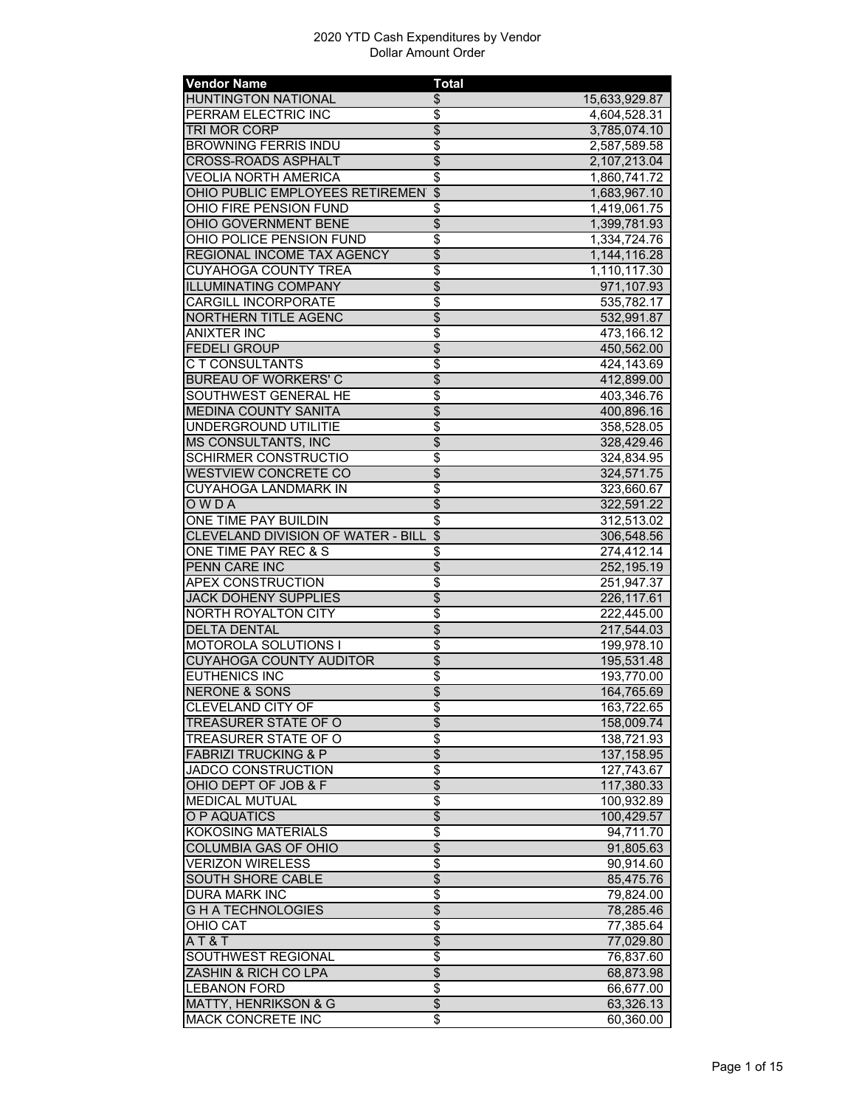| <b>Vendor Name</b>                    | <b>Total</b>                         |               |
|---------------------------------------|--------------------------------------|---------------|
| <b>HUNTINGTON NATIONAL</b>            | \$                                   | 15,633,929.87 |
| PERRAM ELECTRIC INC                   | \$                                   | 4,604,528.31  |
| TRI MOR CORP                          | $\overline{\$}$                      | 3,785,074.10  |
| <b>BROWNING FERRIS INDU</b>           | $\overline{\$}$                      | 2,587,589.58  |
| <b>CROSS-ROADS ASPHALT</b>            | $\overline{\$}$                      | 2,107,213.04  |
| VEOLIA NORTH AMERICA                  | $\overline{\boldsymbol{\mathsf{S}}}$ | 1,860,741.72  |
| OHIO PUBLIC EMPLOYEES RETIREMEN \$    |                                      | 1,683,967.10  |
| OHIO FIRE PENSION FUND                | \$                                   | 1,419,061.75  |
| <b>OHIO GOVERNMENT BENE</b>           | $\overline{\$}$                      | 1,399,781.93  |
| OHIO POLICE PENSION FUND              | $\overline{\boldsymbol{\mathsf{S}}}$ | 1,334,724.76  |
| REGIONAL INCOME TAX AGENCY            | $\overline{\$}$                      | 1,144,116.28  |
| <b>CUYAHOGA COUNTY TREA</b>           | $\overline{\boldsymbol{\theta}}$     | 1,110,117.30  |
| <b>ILLUMINATING COMPANY</b>           | $\overline{\$}$                      | 971,107.93    |
| <b>CARGILL INCORPORATE</b>            | $\overline{\$}$                      | 535,782.17    |
| <b>NORTHERN TITLE AGENC</b>           | $\overline{\$}$                      | 532,991.87    |
| <b>ANIXTER INC</b>                    | $\overline{\$}$                      | 473,166.12    |
| <b>FEDELI GROUP</b>                   | $\overline{\$}$                      | 450,562.00    |
| C T CONSULTANTS                       | \$                                   | 424,143.69    |
| <b>BUREAU OF WORKERS' C</b>           | \$                                   | 412,899.00    |
| SOUTHWEST GENERAL HE                  | $\overline{\$}$                      | 403,346.76    |
| <b>MEDINA COUNTY SANITA</b>           | $\overline{\$}$                      | 400,896.16    |
| UNDERGROUND UTILITIE                  | \$                                   | 358,528.05    |
| <b>MS CONSULTANTS, INC</b>            | $\overline{\$}$                      | 328,429.46    |
| <b>SCHIRMER CONSTRUCTIO</b>           | \$                                   | 324,834.95    |
| <b>WESTVIEW CONCRETE CO</b>           | $\overline{\$}$                      | 324,571.75    |
| <b>CUYAHOGA LANDMARK IN</b>           | \$                                   | 323,660.67    |
| OWDA                                  | $\overline{\$}$                      | 322,591.22    |
| ONE TIME PAY BUILDIN                  | $\overline{\$}$                      | 312,513.02    |
| CLEVELAND DIVISION OF WATER - BILL \$ |                                      | 306,548.56    |
| ONE TIME PAY REC & S                  | $\overline{\mathfrak{s}}$            | 274,412.14    |
| PENN CARE INC                         | $\overline{\theta}$                  | 252,195.19    |
| <b>APEX CONSTRUCTION</b>              | $\overline{\$}$                      | 251,947.37    |
| <b>JACK DOHENY SUPPLIES</b>           | $\overline{\$}$                      | 226,117.61    |
| <b>NORTH ROYALTON CITY</b>            | $\overline{\$}$                      | 222,445.00    |
| <b>DELTA DENTAL</b>                   | $\overline{\$}$                      | 217,544.03    |
| <b>MOTOROLA SOLUTIONS I</b>           | \$                                   | 199,978.10    |
| <b>CUYAHOGA COUNTY AUDITOR</b>        | $\overline{\$}$                      | 195,531.48    |
| <b>EUTHENICS INC</b>                  | $\overline{\mathfrak{s}}$            | 193,770.00    |
|                                       | \$                                   |               |
| <b>NERONE &amp; SONS</b>              |                                      | 164,765.69    |
| <b>CLEVELAND CITY OF</b>              | \$<br>$\overline{\$}$                | 163,722.65    |
| <b>TREASURER STATE OF O</b>           |                                      | 158,009.74    |
| TREASURER STATE OF O                  | $\overline{\$}$                      | 138,721.93    |
| <b>FABRIZI TRUCKING &amp; P</b>       | $\overline{\$}$                      | 137, 158.95   |
| <b>JADCO CONSTRUCTION</b>             | $\overline{\boldsymbol{\theta}}$     | 127,743.67    |
| OHIO DEPT OF JOB & F                  | $\overline{\$}$                      | 117,380.33    |
| <b>MEDICAL MUTUAL</b>                 | $\overline{\boldsymbol{\epsilon}}$   | 100,932.89    |
| O P AQUATICS                          | \$                                   | 100,429.57    |
| <b>KOKOSING MATERIALS</b>             | $\overline{\boldsymbol{\epsilon}}$   | 94,711.70     |
| <b>COLUMBIA GAS OF OHIO</b>           | $\overline{\$}$                      | 91,805.63     |
| <b>VERIZON WIRELESS</b>               | $\overline{\$}$                      | 90,914.60     |
| <b>SOUTH SHORE CABLE</b>              | $\overline{\$}$                      | 85,475.76     |
| <b>DURA MARK INC</b>                  | \$                                   | 79,824.00     |
| <b>GHATECHNOLOGIES</b>                | $\overline{\theta}$                  | 78,285.46     |
| OHIO CAT                              | $\overline{\boldsymbol{\theta}}$     | 77,385.64     |
| AT&T                                  | $\overline{\theta}$                  | 77,029.80     |
| SOUTHWEST REGIONAL                    | \$                                   | 76,837.60     |
| ZASHIN & RICH CO LPA                  | \$                                   | 68,873.98     |
| <b>LEBANON FORD</b>                   | \$                                   | 66,677.00     |
| <b>MATTY, HENRIKSON &amp; G</b>       | $\overline{\$}$                      | 63,326.13     |
| MACK CONCRETE INC                     | \$                                   | 60,360.00     |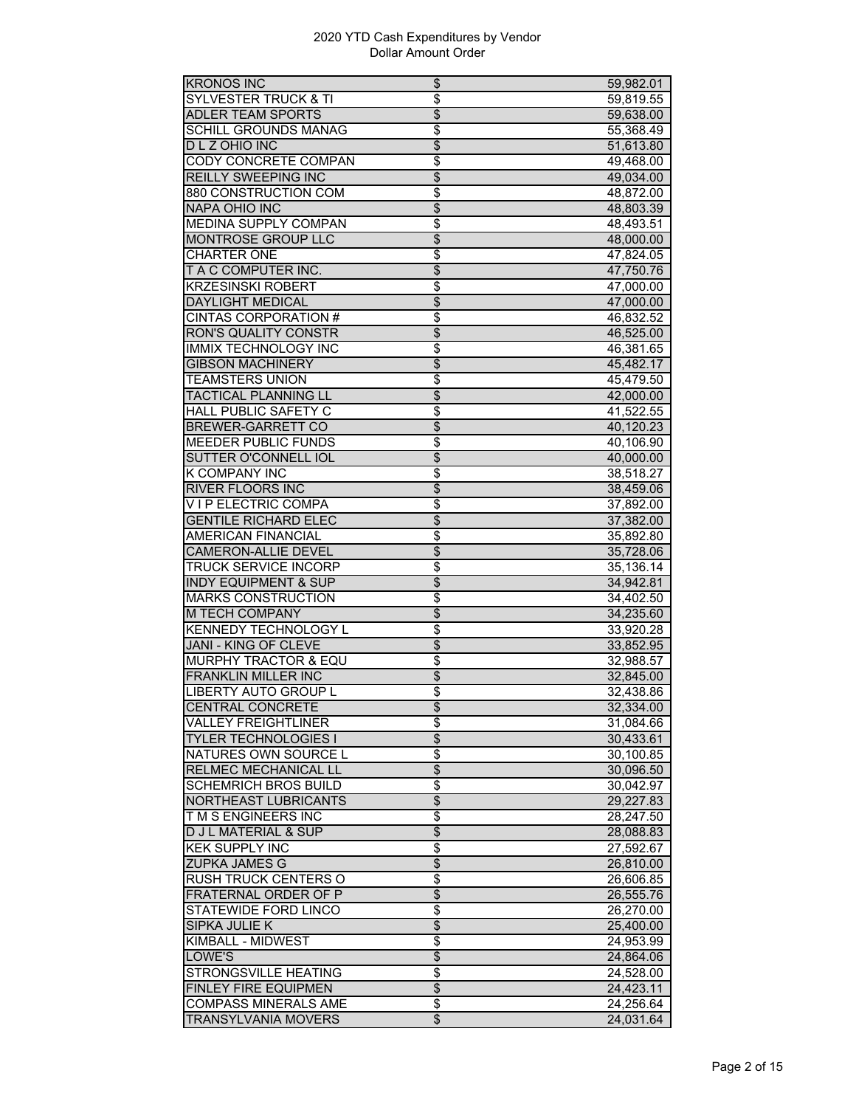| <b>KRONOS INC</b>               | \$                               | 59,982.01 |
|---------------------------------|----------------------------------|-----------|
| <b>SYLVESTER TRUCK &amp; TI</b> | \$                               | 59,819.55 |
| <b>ADLER TEAM SPORTS</b>        | \$                               | 59,638.00 |
| <b>SCHILL GROUNDS MANAG</b>     | \$                               | 55,368.49 |
| D L Z OHIO INC                  | $\overline{\$}$                  | 51,613.80 |
| <b>CODY CONCRETE COMPAN</b>     | $\overline{\$}$                  | 49,468.00 |
| <b>REILLY SWEEPING INC</b>      | $\overline{\$}$                  | 49,034.00 |
| 880 CONSTRUCTION COM            | \$                               | 48,872.00 |
| <b>NAPA OHIO INC</b>            | $\overline{\$}$                  | 48,803.39 |
| MEDINA SUPPLY COMPAN            | \$                               | 48,493.51 |
| <b>MONTROSE GROUP LLC</b>       | \$                               | 48.000.00 |
| <b>CHARTER ONE</b>              | \$                               | 47,824.05 |
| T A C COMPUTER INC.             | $\overline{\$}$                  |           |
|                                 |                                  | 47,750.76 |
| <b>KRZESINSKI ROBERT</b>        | $\overline{\$}$                  | 47,000.00 |
| <b>DAYLIGHT MEDICAL</b>         | $\overline{\$}$                  | 47,000.00 |
| <b>CINTAS CORPORATION #</b>     | $\overline{\$}$                  | 46,832.52 |
| <b>RON'S QUALITY CONSTR</b>     | $\overline{\$}$                  | 46,525.00 |
| <b>IMMIX TECHNOLOGY INC</b>     | \$                               | 46,381.65 |
| <b>GIBSON MACHINERY</b>         | \$                               | 45,482.17 |
| TEAMSTERS UNION                 | $\overline{\$}$                  | 45,479.50 |
| <b>TACTICAL PLANNING LL</b>     | $\overline{\$}$                  | 42,000.00 |
| <b>HALL PUBLIC SAFETY C</b>     | \$                               | 41,522.55 |
| BREWER-GARRETT CO               | $\overline{\$}$                  | 40,120.23 |
| <b>MEEDER PUBLIC FUNDS</b>      | \$                               | 40,106.90 |
| SUTTER O'CONNELL IOL            | \$                               | 40,000.00 |
| <b>K COMPANY INC</b>            | \$                               | 38,518.27 |
| <b>RIVER FLOORS INC</b>         | $\overline{\$}$                  | 38,459.06 |
| VIP ELECTRIC COMPA              | \$                               | 37,892.00 |
| <b>GENTILE RICHARD ELEC</b>     | $\overline{\$}$                  | 37,382.00 |
| <b>AMERICAN FINANCIAL</b>       | $\overline{\$}$                  | 35,892.80 |
| <b>CAMERON-ALLIE DEVEL</b>      | $\overline{\$}$                  | 35,728.06 |
| <b>TRUCK SERVICE INCORP</b>     | \$                               | 35,136.14 |
| <b>INDY EQUIPMENT &amp; SUP</b> | $\overline{\$}$                  | 34,942.81 |
| <b>MARKS CONSTRUCTION</b>       | \$                               | 34,402.50 |
| <b>M TECH COMPANY</b>           | $\overline{\$}$                  | 34,235.60 |
| <b>KENNEDY TECHNOLOGY L</b>     | \$                               | 33,920.28 |
| <b>JANI - KING OF CLEVE</b>     | $\overline{\$}$                  | 33,852.95 |
| <b>MURPHY TRACTOR &amp; EQU</b> |                                  |           |
|                                 | \$                               | 32,988.57 |
| <b>FRANKLIN MILLER INC</b>      | $\overline{\mathcal{L}}$         | 32,845.00 |
| <b>LIBERTY AUTO GROUP L</b>     | \$                               | 32,438.86 |
| <b>CENTRAL CONCRETE</b>         | Φ                                | 32,334.00 |
| <b>VALLEY FREIGHTLINER</b>      | \$                               | 31,084.66 |
| <b>TYLER TECHNOLOGIES I</b>     | \$                               | 30,433.61 |
| NATURES OWN SOURCE L            | \$                               | 30,100.85 |
| RELMEC MECHANICAL LL            | $\overline{\$}$                  | 30,096.50 |
| <b>SCHEMRICH BROS BUILD</b>     | \$                               | 30,042.97 |
| NORTHEAST LUBRICANTS            | \$                               | 29,227.83 |
| T M S ENGINEERS INC             | \$                               | 28,247.50 |
| <b>D J L MATERIAL &amp; SUP</b> | \$                               | 28,088.83 |
| <b>KEK SUPPLY INC</b>           | $\overline{\$}$                  | 27,592.67 |
| <b>ZUPKA JAMES G</b>            | \$                               | 26,810.00 |
| <b>RUSH TRUCK CENTERS O</b>     | $\overline{\mathfrak{s}}$        | 26,606.85 |
| FRATERNAL ORDER OF P            | \$                               | 26,555.76 |
| STATEWIDE FORD LINCO            | \$                               | 26,270.00 |
| <b>SIPKA JULIE K</b>            | $\overline{\$}$                  | 25,400.00 |
| KIMBALL - MIDWEST               | $\overline{\$}$                  | 24,953.99 |
|                                 | $\overline{\$}$                  | 24,864.06 |
| LOWE'S                          |                                  |           |
| STRONGSVILLE HEATING            | $\overline{\boldsymbol{\theta}}$ | 24,528.00 |
| FINLEY FIRE EQUIPMEN            | $\overline{\$}$                  | 24,423.11 |
| <b>COMPASS MINERALS AME</b>     | \$                               | 24,256.64 |
| <b>TRANSYLVANIA MOVERS</b>      | \$                               | 24,031.64 |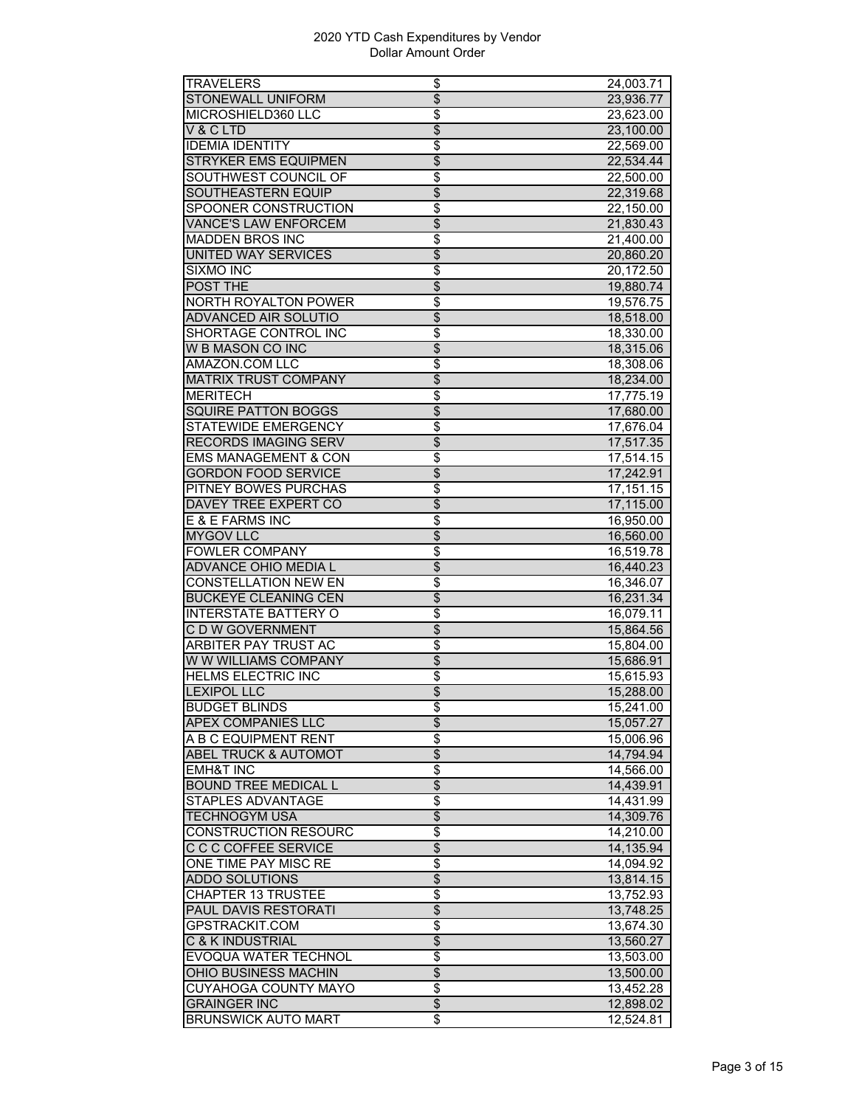| TRAVELERS                       | \$                               | 24,003.71               |
|---------------------------------|----------------------------------|-------------------------|
| <b>STONEWALL UNIFORM</b>        | $\overline{\$}$                  | 23,936.77               |
| MICROSHIELD360 LLC              | \$                               | 23,623.00               |
| V & C LTD                       | \$                               | 23,100.00               |
| <b>IDEMIA IDENTITY</b>          | \$                               | 22,569.00               |
| <b>STRYKER EMS EQUIPMEN</b>     | $\overline{\$}$                  | 22,534.44               |
| SOUTHWEST COUNCIL OF            | \$                               | 22,500.00               |
| <b>SOUTHEASTERN EQUIP</b>       | $\overline{\$}$                  | 22,319.68               |
| SPOONER CONSTRUCTION            | $\overline{\boldsymbol{\theta}}$ | 22,150.00               |
| <b>VANCE'S LAW ENFORCEM</b>     | $\overline{\$}$                  | 21,830.43               |
| <b>MADDEN BROS INC</b>          | \$                               | 21,400.00               |
| UNITED WAY SERVICES             | $\overline{\$}$                  | 20,860.20               |
| <b>SIXMO INC</b>                | \$                               | 20,172.50               |
| POST THE                        | $\overline{\$}$                  | 19,880.74               |
| NORTH ROYALTON POWER            | \$                               | 19,576.75               |
| <b>ADVANCED AIR SOLUTIO</b>     | $\overline{\$}$                  | 18,518.00               |
| SHORTAGE CONTROL INC            | $\overline{\$}$                  | 18,330.00               |
| W B MASON CO INC                | \$                               | 18,315.06               |
| AMAZON.COM LLC                  |                                  |                         |
|                                 | \$                               | 18,308.06               |
| <b>MATRIX TRUST COMPANY</b>     | $\overline{\$}$                  | 18,234.00               |
| <b>MERITECH</b>                 | $\overline{\$}$                  | $\overline{17}, 775.19$ |
| <b>SQUIRE PATTON BOGGS</b>      | $\overline{\$}$                  | 17,680.00               |
| STATEWIDE EMERGENCY             | \$                               | 17,676.04               |
| <b>RECORDS IMAGING SERV</b>     | $\overline{\$}$                  | 17,517.35               |
| <b>EMS MANAGEMENT &amp; CON</b> | \$                               | 17,514.15               |
| <b>GORDON FOOD SERVICE</b>      | $\overline{\$}$                  | 17,242.91               |
| PITNEY BOWES PURCHAS            | \$                               | 17,151.15               |
| DAVEY TREE EXPERT CO            | $\overline{\$}$                  | 17,115.00               |
| E & E FARMS INC                 | $\overline{\$}$                  | 16,950.00               |
| <b>MYGOV LLC</b>                | $\overline{\$}$                  | 16,560.00               |
| <b>FOWLER COMPANY</b>           | $\overline{\$}$                  | 16,519.78               |
| ADVANCE OHIO MEDIA L            | \$                               | 16,440.23               |
| <b>CONSTELLATION NEW EN</b>     | \$                               | 16,346.07               |
| <b>BUCKEYE CLEANING CEN</b>     | $\overline{\$}$                  | 16,231.34               |
| <b>INTERSTATE BATTERY O</b>     | \$                               | 16,079.11               |
| C D W GOVERNMENT                | \$                               | 15.864.56               |
| <b>ARBITER PAY TRUST AC</b>     | $\overline{\mathfrak{s}}$        | 15,804.00               |
| W W WILLIAMS COMPANY            | $\overline{\$}$                  | 15,686.91               |
| <b>HELMS ELECTRIC INC</b>       | \$                               | 15,615.93               |
| <b>LEXIPOL LLC</b>              | \$                               | 15,288.00               |
| <b>BUDGET BLINDS</b>            | \$                               | 15,241.00               |
| <b>APEX COMPANIES LLC</b>       | $\overline{\$}$                  | 15,057.27               |
| A B C EQUIPMENT RENT            | $\overline{\$}$                  | 15,006.96               |
| ABEL TRUCK & AUTOMOT            | $\overline{\$}$                  | 14,794.94               |
| <b>EMH&amp;T INC</b>            | $\overline{\$}$                  | 14,566.00               |
| <b>BOUND TREE MEDICAL L</b>     | $\overline{\$}$                  | 14,439.91               |
| STAPLES ADVANTAGE               | \$                               | 14,431.99               |
| TECHNOGYM USA                   | $\overline{\$}$                  | 14,309.76               |
| <b>CONSTRUCTION RESOURC</b>     | $\overline{\$}$                  |                         |
|                                 |                                  | 14,210.00               |
| <b>C C C COFFEE SERVICE</b>     | $\overline{\$}$                  | 14,135.94               |
| ONE TIME PAY MISC RE            | $\overline{\$}$                  | 14,094.92               |
| <b>ADDO SOLUTIONS</b>           | $\overline{\$}$                  | 13,814.15               |
| <b>CHAPTER 13 TRUSTEE</b>       | \$                               | 13,752.93               |
| PAUL DAVIS RESTORATI            | \$                               | 13,748.25               |
| <b>GPSTRACKIT.COM</b>           | \$                               | 13,674.30               |
| C & K INDUSTRIAL                | \$                               | 13,560.27               |
| EVOQUA WATER TECHNOL            | $\overline{\$}$                  | 13,503.00               |
| <b>OHIO BUSINESS MACHIN</b>     | $\overline{\$}$                  | 13,500.00               |
| <b>CUYAHOGA COUNTY MAYO</b>     | $\overline{\boldsymbol{\theta}}$ | 13,452.28               |
| <b>GRAINGER INC</b>             | $\overline{\mathcal{E}}$         | 12,898.02               |
| <b>BRUNSWICK AUTO MART</b>      | \$                               | 12,524.81               |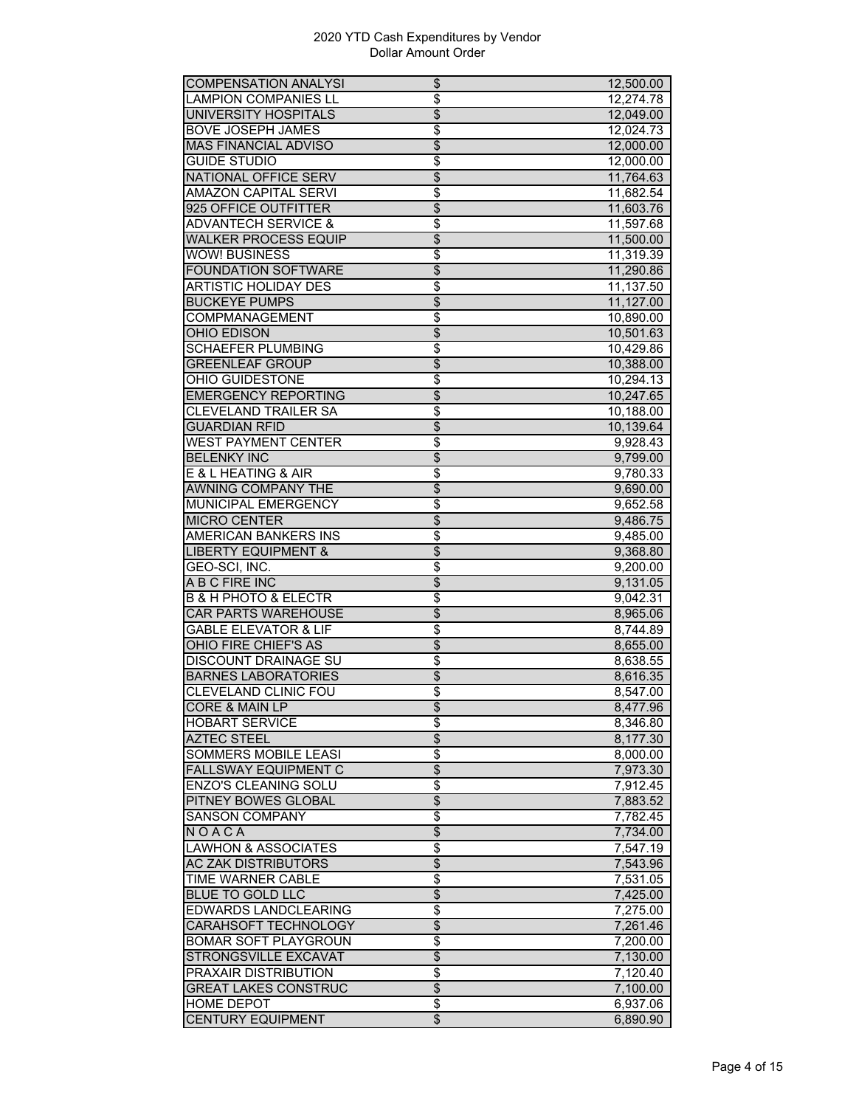| <b>COMPENSATION ANALYSI</b>         | \$                       | 12,500.00 |
|-------------------------------------|--------------------------|-----------|
| <b>LAMPION COMPANIES LL</b>         | \$                       | 12,274.78 |
| UNIVERSITY HOSPITALS                | \$                       | 12,049.00 |
| <b>BOVE JOSEPH JAMES</b>            | \$                       | 12,024.73 |
| <b>MAS FINANCIAL ADVISO</b>         | $\overline{\$}$          | 12,000.00 |
| <b>GUIDE STUDIO</b>                 | $\overline{\$}$          | 12,000.00 |
| <b>NATIONAL OFFICE SERV</b>         | \$                       | 11,764.63 |
| <b>AMAZON CAPITAL SERVI</b>         | \$                       | 11,682.54 |
| 925 OFFICE OUTFITTER                | $\overline{\$}$          | 11,603.76 |
| <b>ADVANTECH SERVICE &amp;</b>      | \$                       | 11,597.68 |
| <b>WALKER PROCESS EQUIP</b>         | \$                       | 11,500.00 |
| WOW! BUSINESS                       | \$                       | 11,319.39 |
| <b>FOUNDATION SOFTWARE</b>          | $\overline{\$}$          |           |
|                                     |                          | 11,290.86 |
| <b>ARTISTIC HOLIDAY DES</b>         | $\overline{\$}$          | 11,137.50 |
| <b>BUCKEYE PUMPS</b>                | $\overline{\$}$          | 11,127.00 |
| COMPMANAGEMENT                      | \$                       | 10,890.00 |
| <b>OHIO EDISON</b>                  | \$                       | 10,501.63 |
| <b>SCHAEFER PLUMBING</b>            | \$                       | 10,429.86 |
| <b>GREENLEAF GROUP</b>              | $\overline{\$}$          | 10,388.00 |
| <b>OHIO GUIDESTONE</b>              | $\overline{\$}$          | 10,294.13 |
| <b>EMERGENCY REPORTING</b>          | $\overline{\$}$          | 10,247.65 |
| <b>CLEVELAND TRAILER SA</b>         | \$                       | 10,188.00 |
| <b>GUARDIAN RFID</b>                | \$                       | 10,139.64 |
| WEST PAYMENT CENTER                 | \$                       | 9,928.43  |
| <b>BELENKY INC</b>                  | $\overline{\$}$          | 9,799.00  |
| E & L HEATING & AIR                 | \$                       | 9,780.33  |
| <b>AWNING COMPANY THE</b>           | $\overline{\$}$          | 9,690.00  |
| MUNICIPAL EMERGENCY                 | \$                       | 9,652.58  |
| <b>MICRO CENTER</b>                 | $\overline{\$}$          | 9,486.75  |
| AMERICAN BANKERS INS                | \$                       | 9,485.00  |
| <b>LIBERTY EQUIPMENT &amp;</b>      | \$                       | 9,368.80  |
| GEO-SCI, INC.                       | \$                       | 9,200.00  |
| A B C FIRE INC                      | $\overline{\$}$          | 9,131.05  |
| <b>B &amp; H PHOTO &amp; ELECTR</b> | \$                       | 9,042.31  |
| <b>CAR PARTS WAREHOUSE</b>          | $\overline{\$}$          | 8,965.06  |
| <b>GABLE ELEVATOR &amp; LIF</b>     | \$                       | 8,744.89  |
| <b>OHIO FIRE CHIEF'S AS</b>         | $\overline{\$}$          | 8,655.00  |
| <b>DISCOUNT DRAINAGE SU</b>         | \$                       |           |
|                                     |                          | 8,638.55  |
| <b>BARNES LABORATORIES</b>          | \$                       | 8,616.35  |
| CLEVELAND CLINIC FOU                | \$                       | 8,547.00  |
| <b>CORE &amp; MAIN LP</b>           | \$                       | 8,477.96  |
| <b>HOBART SERVICE</b>               | \$                       | 8,346.80  |
| <b>AZTEC STEEL</b>                  | $\overline{\$}$          | 8,177.30  |
| SOMMERS MOBILE LEASI                | \$                       | 8,000.00  |
| <b>FALLSWAY EQUIPMENT C</b>         | $\overline{\mathcal{L}}$ | 7,973.30  |
| ENZO'S CLEANING SOLU                | \$                       | 7,912.45  |
| PITNEY BOWES GLOBAL                 | \$                       | 7,883.52  |
| <b>SANSON COMPANY</b>               | \$                       | 7,782.45  |
| NOACA                               | \$                       | 7,734.00  |
| <b>LAWHON &amp; ASSOCIATES</b>      | \$                       | 7,547.19  |
| <b>AC ZAK DISTRIBUTORS</b>          | $\overline{\$}$          | 7,543.96  |
| TIME WARNER CABLE                   | \$                       | 7,531.05  |
| BLUE TO GOLD LLC                    | \$                       | 7,425.00  |
| EDWARDS LANDCLEARING                | \$                       | 7,275.00  |
| <b>CARAHSOFT TECHNOLOGY</b>         | \$                       | 7,261.46  |
| <b>BOMAR SOFT PLAYGROUN</b>         | $\overline{\$}$          | 7,200.00  |
| STRONGSVILLE EXCAVAT                | \$                       | 7,130.00  |
| <b>PRAXAIR DISTRIBUTION</b>         | \$                       | 7,120.40  |
| <b>GREAT LAKES CONSTRUC</b>         | $\overline{\mathcal{L}}$ |           |
|                                     |                          | 7,100.00  |
| HOME DEPOT                          | \$                       | 6,937.06  |
| <b>CENTURY EQUIPMENT</b>            | $\overline{\mathcal{L}}$ | 6,890.90  |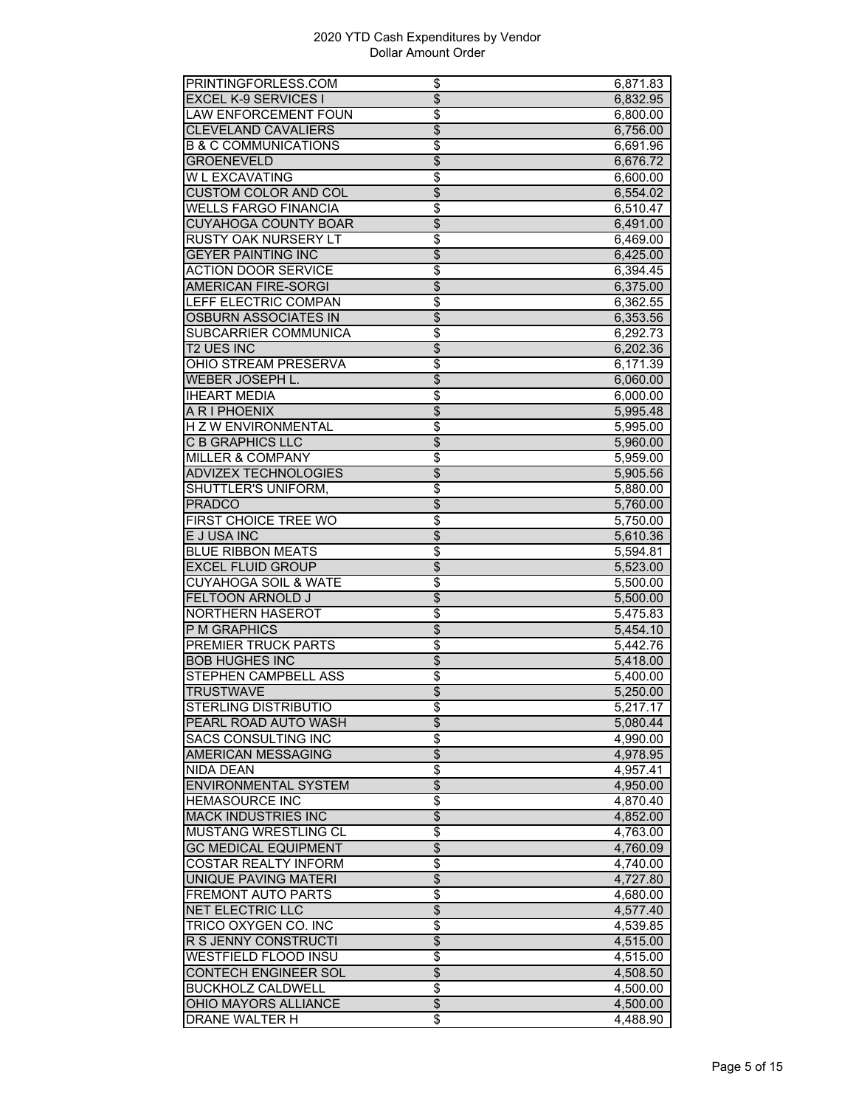| PRINTINGFORLESS.COM             | \$                               | 6,871.83 |
|---------------------------------|----------------------------------|----------|
| <b>EXCEL K-9 SERVICES I</b>     | $\overline{\$}$                  | 6,832.95 |
| <b>LAW ENFORCEMENT FOUN</b>     | \$                               | 6,800.00 |
| <b>CLEVELAND CAVALIERS</b>      | \$                               | 6,756.00 |
| <b>B &amp; C COMMUNICATIONS</b> | \$                               | 6,691.96 |
| <b>GROENEVELD</b>               | $\overline{\$}$                  | 6,676.72 |
| W L EXCAVATING                  | \$                               | 6,600.00 |
| <b>CUSTOM COLOR AND COL</b>     | $\overline{\$}$                  | 6,554.02 |
| <b>WELLS FARGO FINANCIA</b>     | $\overline{\boldsymbol{\theta}}$ | 6,510.47 |
| <b>CUYAHOGA COUNTY BOAR</b>     | $\overline{\$}$                  | 6,491.00 |
| RUSTY OAK NURSERY LT            | \$                               | 6,469.00 |
| <b>GEYER PAINTING INC</b>       | $\overline{\$}$                  | 6,425.00 |
| <b>ACTION DOOR SERVICE</b>      | \$                               |          |
|                                 | $\overline{\$}$                  | 6,394.45 |
| <b>AMERICAN FIRE-SORGI</b>      |                                  | 6,375.00 |
| LEFF ELECTRIC COMPAN            | \$                               | 6,362.55 |
| <b>OSBURN ASSOCIATES IN</b>     | $\overline{\$}$                  | 6,353.56 |
| SUBCARRIER COMMUNICA            | \$                               | 6,292.73 |
| <b>T2 UES INC</b>               | \$                               | 6,202.36 |
| OHIO STREAM PRESERVA            | \$                               | 6,171.39 |
| WEBER JOSEPH L.                 | $\overline{\$}$                  | 6,060.00 |
| <b>IHEART MEDIA</b>             | $\overline{\$}$                  | 6,000.00 |
| A R I PHOENIX                   | $\overline{\$}$                  | 5,995.48 |
| <b>HZWENVIRONMENTAL</b>         | $\overline{\$}$                  | 5,995.00 |
| <b>C B GRAPHICS LLC</b>         | $\overline{\$}$                  | 5,960.00 |
| <b>MILLER &amp; COMPANY</b>     | \$                               | 5,959.00 |
| ADVIZEX TECHNOLOGIES            | $\overline{\$}$                  | 5,905.56 |
| SHUTTLER'S UNIFORM,             | $\overline{\$}$                  | 5,880.00 |
| <b>PRADCO</b>                   | $\overline{\$}$                  | 5,760.00 |
| <b>FIRST CHOICE TREE WO</b>     | $\overline{\$}$                  | 5,750.00 |
| E J USA INC                     | $\overline{\$}$                  | 5,610.36 |
| <b>BLUE RIBBON MEATS</b>        | \$                               | 5,594.81 |
| <b>EXCEL FLUID GROUP</b>        | \$                               | 5,523.00 |
| <b>CUYAHOGA SOIL &amp; WATE</b> | \$                               | 5,500.00 |
| FELTOON ARNOLD J                | $\overline{\$}$                  | 5,500.00 |
| <b>NORTHERN HASEROT</b>         | \$                               | 5,475.83 |
| P M GRAPHICS                    | \$                               | 5,454.10 |
| <b>PREMIER TRUCK PARTS</b>      | $\overline{\mathfrak{s}}$        | 5,442.76 |
| <b>BOB HUGHES INC</b>           | $\overline{\$}$                  | 5,418.00 |
| STEPHEN CAMPBELL ASS            | \$                               | 5,400.00 |
| <b>TRUSTWAVE</b>                |                                  |          |
|                                 | \$                               | 5,250.00 |
| STERLING DISTRIBUTIO            | \$                               | 5,217.17 |
| PEARL ROAD AUTO WASH            | $\overline{\mathcal{L}}$         | 5,080.44 |
| <b>SACS CONSULTING INC</b>      | \$                               | 4,990.00 |
| AMERICAN MESSAGING              | $\overline{\$}$                  | 4,978.95 |
| NIDA DEAN                       | $\overline{\$}$                  | 4,957.41 |
| <b>ENVIRONMENTAL SYSTEM</b>     | $\overline{\mathcal{L}}$         | 4,950.00 |
| <b>HEMASOURCE INC</b>           | \$                               | 4,870.40 |
| MACK INDUSTRIES INC             | $\overline{\$}$                  | 4,852.00 |
| MUSTANG WRESTLING CL            | $\overline{\$}$                  | 4,763.00 |
| <b>GC MEDICAL EQUIPMENT</b>     | $\overline{\$}$                  | 4,760.09 |
| <b>COSTAR REALTY INFORM</b>     | $\overline{\boldsymbol{\theta}}$ | 4,740.00 |
| <b>UNIQUE PAVING MATERI</b>     | $\overline{\$}$                  | 4,727.80 |
| FREMONT AUTO PARTS              | \$                               | 4,680.00 |
| NET ELECTRIC LLC                | \$                               | 4,577.40 |
| <b>TRICO OXYGEN CO. INC</b>     | \$                               | 4,539.85 |
| R S JENNY CONSTRUCTI            | \$                               | 4,515.00 |
| WESTFIELD FLOOD INSU            | \$                               | 4,515.00 |
| <b>CONTECH ENGINEER SOL</b>     | $\overline{\$}$                  | 4,508.50 |
| <b>BUCKHOLZ CALDWELL</b>        | $\overline{\boldsymbol{\theta}}$ | 4,500.00 |
| OHIO MAYORS ALLIANCE            | $\overline{\mathcal{E}}$         | 4,500.00 |
| DRANE WALTER H                  | \$                               | 4,488.90 |
|                                 |                                  |          |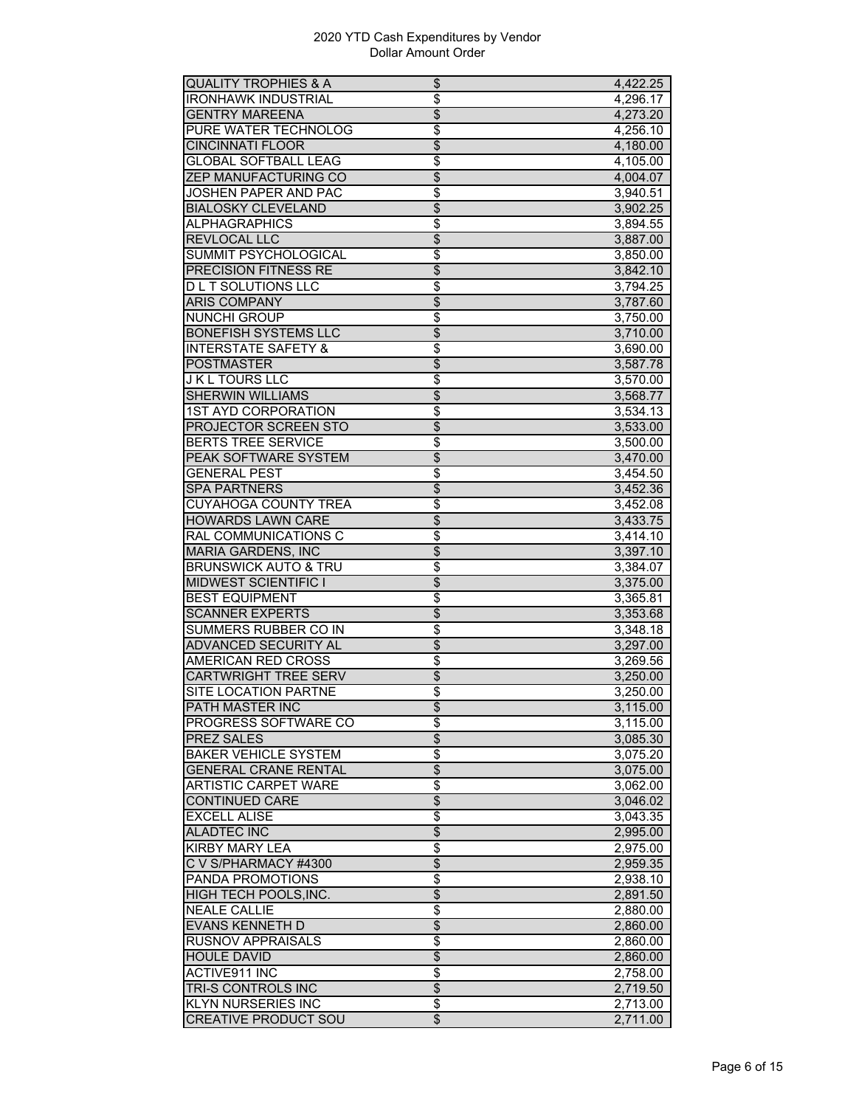| <b>QUALITY TROPHIES &amp; A</b> | \$                       | 4,422.25 |
|---------------------------------|--------------------------|----------|
| <b>IRONHAWK INDUSTRIAL</b>      | \$                       | 4,296.17 |
| <b>GENTRY MAREENA</b>           | \$                       | 4,273.20 |
| PURE WATER TECHNOLOG            | \$                       | 4,256.10 |
| <b>CINCINNATI FLOOR</b>         | $\overline{\$}$          | 4,180.00 |
| <b>GLOBAL SOFTBALL LEAG</b>     | $\overline{\$}$          | 4,105.00 |
| <b>ZEP MANUFACTURING CO</b>     | $\overline{\$}$          | 4,004.07 |
| <b>JOSHEN PAPER AND PAC</b>     | \$                       | 3,940.51 |
| <b>BIALOSKY CLEVELAND</b>       | $\overline{\$}$          | 3,902.25 |
| <b>ALPHAGRAPHICS</b>            | \$                       | 3,894.55 |
| REVLOCAL LLC                    | \$                       | 3,887.00 |
| <b>SUMMIT PSYCHOLOGICAL</b>     | \$                       | 3,850.00 |
| <b>PRECISION FITNESS RE</b>     | $\overline{\$}$          |          |
|                                 |                          | 3,842.10 |
| <b>DLT SOLUTIONS LLC</b>        | $\overline{\$}$          | 3,794.25 |
| <b>ARIS COMPANY</b>             | $\overline{\$}$          | 3,787.60 |
| <b>NUNCHI GROUP</b>             | $\overline{\$}$          | 3,750.00 |
| <b>BONEFISH SYSTEMS LLC</b>     | $\overline{\$}$          | 3,710.00 |
| <b>INTERSTATE SAFETY &amp;</b>  | \$                       | 3,690.00 |
| <b>POSTMASTER</b>               | \$                       | 3,587.78 |
| <b>J K L TOURS LLC</b>          | $\overline{\$}$          | 3,570.00 |
| <b>SHERWIN WILLIAMS</b>         | $\overline{\$}$          | 3,568.77 |
| <b>1ST AYD CORPORATION</b>      | \$                       | 3,534.13 |
| PROJECTOR SCREEN STO            | $\overline{\$}$          | 3,533.00 |
| <b>BERTS TREE SERVICE</b>       | \$                       | 3,500.00 |
| PEAK SOFTWARE SYSTEM            | \$                       | 3,470.00 |
| <b>GENERAL PEST</b>             | \$                       | 3,454.50 |
| <b>SPA PARTNERS</b>             | $\overline{\$}$          | 3,452.36 |
| CUYAHOGA COUNTY TREA            | \$                       | 3,452.08 |
| <b>HOWARDS LAWN CARE</b>        | $\overline{\$}$          | 3,433.75 |
| <b>RAL COMMUNICATIONS C</b>     | $\overline{\$}$          | 3,414.10 |
| <b>MARIA GARDENS, INC</b>       | $\overline{\$}$          | 3,397.10 |
| <b>BRUNSWICK AUTO &amp; TRU</b> | \$                       | 3,384.07 |
| <b>MIDWEST SCIENTIFIC I</b>     | $\overline{\$}$          |          |
|                                 |                          | 3,375.00 |
| <b>BEST EQUIPMENT</b>           | \$                       | 3,365.81 |
| <b>SCANNER EXPERTS</b>          | $\overline{\$}$          | 3,353.68 |
| SUMMERS RUBBER CO IN            | \$                       | 3,348.18 |
| <b>ADVANCED SECURITY AL</b>     | $\overline{\$}$          | 3,297.00 |
| <b>AMERICAN RED CROSS</b>       | \$                       | 3,269.56 |
| <b>CARTWRIGHT TREE SERV</b>     | $\overline{\mathcal{L}}$ | 3,250.00 |
| SITE LOCATION PARTNE            | \$                       | 3,250.00 |
| PATH MASTER INC                 | $\overline{\$}$          | 3,115.00 |
| PROGRESS SOFTWARE CO            | \$                       | 3,115.00 |
| PREZ SALES                      | $\overline{\$}$          | 3,085.30 |
| <b>BAKER VEHICLE SYSTEM</b>     | \$                       | 3,075.20 |
| <b>GENERAL CRANE RENTAL</b>     | $\overline{\$}$          | 3,075.00 |
| <b>ARTISTIC CARPET WARE</b>     | \$                       | 3,062.00 |
| <b>CONTINUED CARE</b>           | \$                       | 3,046.02 |
| <b>EXCELL ALISE</b>             | \$                       | 3,043.35 |
| <b>ALADTEC INC</b>              | \$                       | 2,995.00 |
| <b>KIRBY MARY LEA</b>           | $\overline{\$}$          | 2,975.00 |
| C V S/PHARMACY #4300            | \$                       | 2,959.35 |
| <b>PANDA PROMOTIONS</b>         | \$                       | 2,938.10 |
| HIGH TECH POOLS, INC.           | \$                       | 2,891.50 |
|                                 |                          |          |
| <b>NEALE CALLIE</b>             | \$                       | 2,880.00 |
| <b>EVANS KENNETH D</b>          | \$                       | 2,860.00 |
| <b>RUSNOV APPRAISALS</b>        | $\overline{\$}$          | 2,860.00 |
| <b>HOULE DAVID</b>              | \$                       | 2,860.00 |
| <b>ACTIVE911 INC</b>            | \$                       | 2,758.00 |
| TRI-S CONTROLS INC              | $\overline{\$}$          | 2,719.50 |
| <b>KLYN NURSERIES INC</b>       | \$                       | 2,713.00 |
| <b>CREATIVE PRODUCT SOU</b>     | \$                       | 2,711.00 |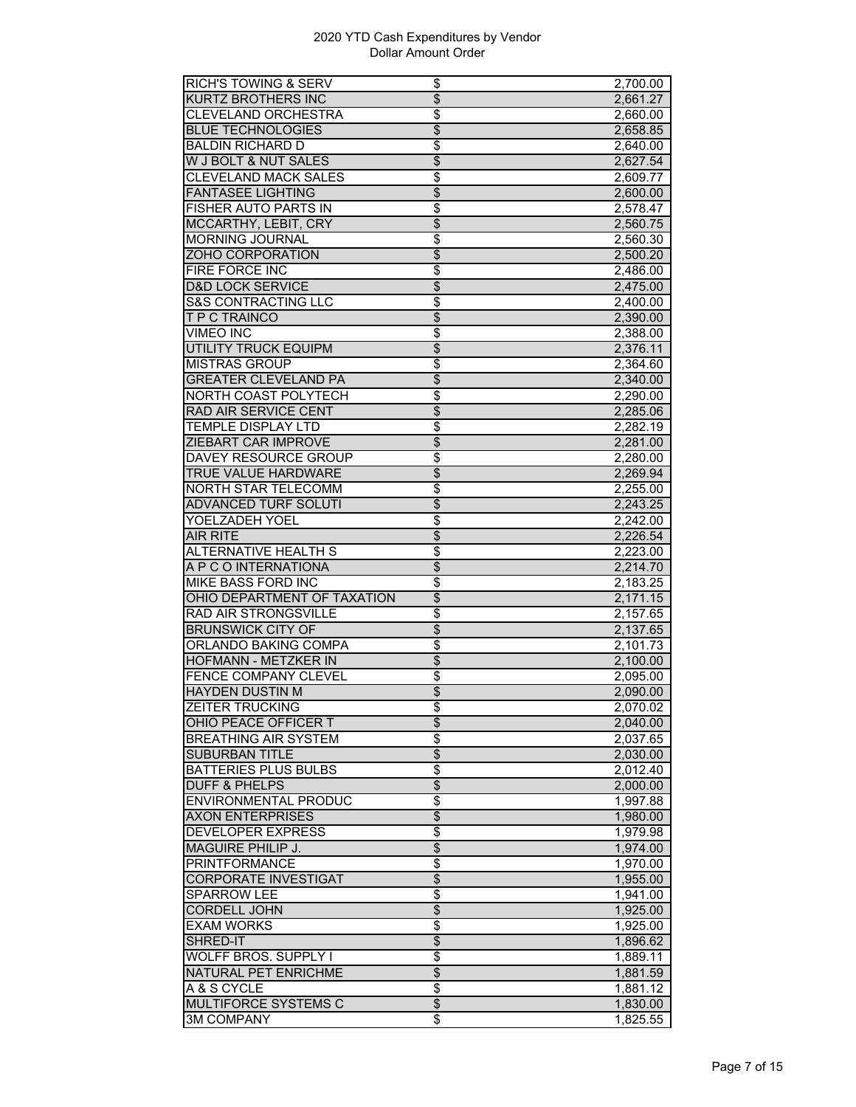| <b>RICH'S TOWING &amp; SERV</b>           | \$                    | 2,700.00             |
|-------------------------------------------|-----------------------|----------------------|
| <b>KURTZ BROTHERS INC</b>                 | $\overline{\$}$       | 2,661.27             |
| CLEVELAND ORCHESTRA                       | \$                    | 2,660.00             |
| <b>BLUE TECHNOLOGIES</b>                  | \$                    | 2,658.85             |
| <b>BALDIN RICHARD D</b>                   | \$                    | 2,640.00             |
| W J BOLT & NUT SALES                      | $\overline{\$}$       | 2,627.54             |
| <b>CLEVELAND MACK SALES</b>               | \$                    | 2,609.77             |
| <b>FANTASEE LIGHTING</b>                  | $\overline{\$}$       | 2,600.00             |
| <b>FISHER AUTO PARTS IN</b>               | $\overline{\$}$       | 2,578.47             |
| <b>MCCARTHY, LEBIT, CRY</b>               | $\overline{\$}$       | 2,560.75             |
| MORNING JOURNAL                           | \$                    | 2,560.30             |
|                                           | $\overline{\$}$       |                      |
| ZOHO CORPORATION                          |                       | 2,500.20             |
| FIRE FORCE INC                            | \$                    | 2,486.00             |
| <b>D&amp;D LOCK SERVICE</b>               | $\overline{\$}$       | 2,475.00             |
| <b>S&amp;S CONTRACTING LLC</b>            | \$                    | 2,400.00             |
| T P C TRAINCO                             | $\overline{\$}$       | 2,390.00             |
| <b>VIMEO INC</b>                          | $\overline{\$}$       | 2,388.00             |
| <b>UTILITY TRUCK EQUIPM</b>               | $\overline{\$}$       | 2,376.11             |
| <b>MISTRAS GROUP</b>                      | \$                    | 2,364.60             |
| <b>GREATER CLEVELAND PA</b>               | $\overline{\$}$       | 2,340.00             |
| NORTH COAST POLYTECH                      | \$                    | 2,290.00             |
| RAD AIR SERVICE CENT                      | $\overline{\$}$       | 2,285.06             |
| TEMPLE DISPLAY LTD                        | \$                    | 2,282.19             |
| <b>ZIEBART CAR IMPROVE</b>                | $\overline{\$}$       | 2,281.00             |
| <b>DAVEY RESOURCE GROUP</b>               | \$                    | 2,280.00             |
| TRUE VALUE HARDWARE                       | \$                    | 2,269.94             |
| NORTH STAR TELECOMM                       | \$                    | 2,255.00             |
| <b>ADVANCED TURF SOLUTI</b>               | $\overline{\$}$       | 2,243.25             |
| YOELZADEH YOEL                            | \$                    | 2,242.00             |
| <b>AIR RITE</b>                           | \$                    | 2,226.54             |
|                                           |                       |                      |
|                                           |                       |                      |
| <b>ALTERNATIVE HEALTH S</b>               | \$                    | 2,223.00             |
| A P C O INTERNATIONA                      | \$                    | 2,214.70             |
| MIKE BASS FORD INC                        | \$                    | 2,183.25             |
| OHIO DEPARTMENT OF TAXATION               | $\overline{\$}$       | 2,171.15             |
| <b>RAD AIR STRONGSVILLE</b>               | $\overline{\$}$       | 2,157.65             |
| <b>BRUNSWICK CITY OF</b>                  | $\overline{\$}$       | 2,137.65             |
| ORLANDO BAKING COMPA                      | \$                    | 2,101.73             |
| <b>HOFMANN - METZKER IN</b>               | $\overline{\$}$       | 2,100.00             |
| <b>FENCE COMPANY CLEVEL</b>               | \$                    | 2,095.00             |
| <b>HAYDEN DUSTIN M</b>                    | \$                    | 2,090.00             |
| ZEITER TRUCKING                           | \$                    | 2,070.02             |
| OHIO PEACE OFFICER T                      | $\overline{\$}$       | 2,040.00             |
| <b>BREATHING AIR SYSTEM</b>               | $\overline{\$}$       | 2,037.65             |
| SUBURBAN TITLE                            | $\overline{\$}$       | 2,030.00             |
| <b>BATTERIES PLUS BULBS</b>               | $\overline{\$}$       | 2,012.40             |
| <b>DUFF &amp; PHELPS</b>                  |                       |                      |
|                                           | $\overline{\$}$       | 2,000.00             |
| <b>ENVIRONMENTAL PRODUC</b>               | \$                    | 1,997.88             |
| <b>AXON ENTERPRISES</b>                   | $\overline{\$}$       | 1,980.00             |
| DEVELOPER EXPRESS                         | $\overline{\$}$       | 1,979.98             |
| <b>MAGUIRE PHILIP J.</b>                  | $\overline{\$}$       | 1,974.00             |
| <b>PRINTFORMANCE</b>                      | $\overline{\$}$       | 1,970.00             |
| <b>CORPORATE INVESTIGAT</b>               | \$                    | 1,955.00             |
| <b>SPARROW LEE</b>                        | \$                    | 1,941.00             |
| <b>CORDELL JOHN</b>                       | \$                    | 1,925.00             |
| <b>EXAM WORKS</b>                         | \$                    | 1,925.00             |
| SHRED-IT                                  | \$                    | 1,896.62             |
| WOLFF BROS. SUPPLY I                      | \$                    | 1,889.11             |
| <b>NATURAL PET ENRICHME</b>               | $\overline{\$}$       | 1,881.59             |
| A & S CYCLE                               | $\overline{\$}$       | 1,881.12             |
| MULTIFORCE SYSTEMS C<br><b>3M COMPANY</b> | $\overline{\$}$<br>\$ | 1,830.00<br>1,825.55 |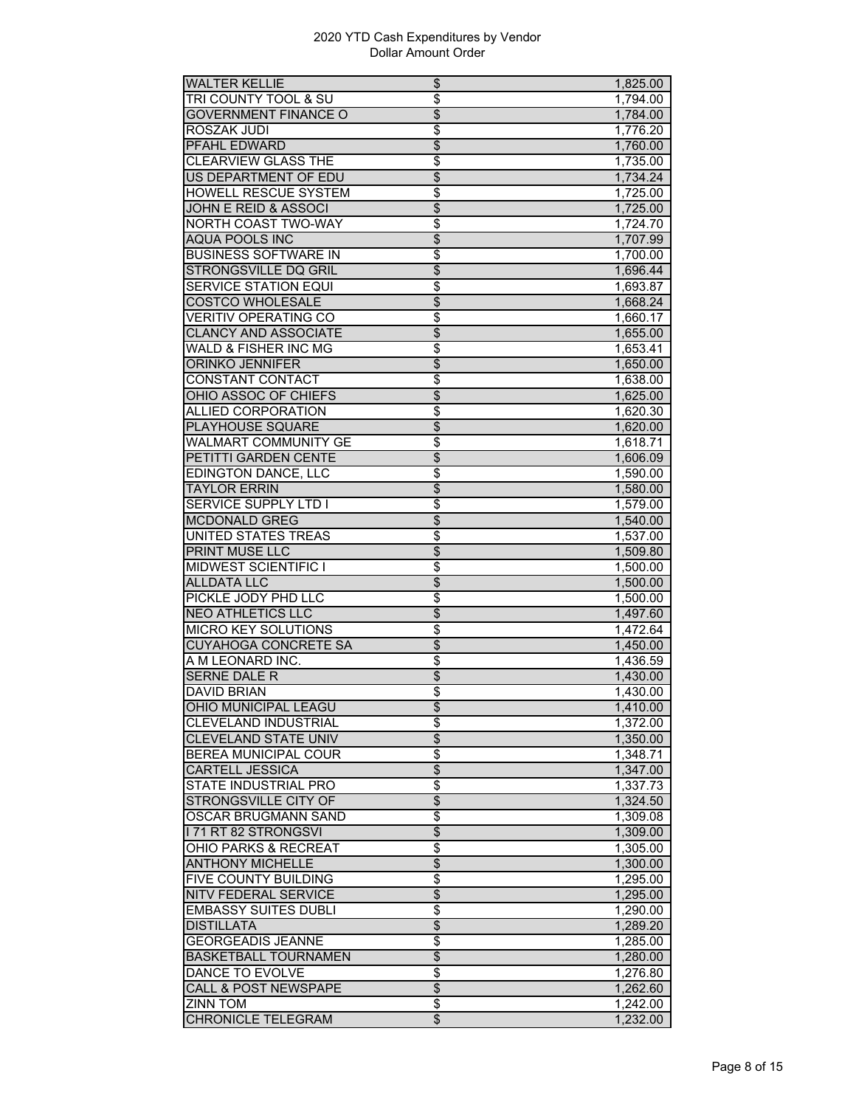| <b>WALTER KELLIE</b>            | \$                       | 1,825.00 |
|---------------------------------|--------------------------|----------|
| <b>TRI COUNTY TOOL &amp; SU</b> | \$                       | 1,794.00 |
| <b>GOVERNMENT FINANCE O</b>     | \$                       | 1,784.00 |
| ROSZAK JUDI                     | \$                       | 1,776.20 |
| PFAHL EDWARD                    | $\overline{\$}$          | 1,760.00 |
| <b>CLEARVIEW GLASS THE</b>      | $\overline{\$}$          | 1,735.00 |
| <b>US DEPARTMENT OF EDU</b>     | $\overline{\$}$          | 1,734.24 |
| <b>HOWELL RESCUE SYSTEM</b>     | \$                       | 1,725.00 |
| <b>JOHN E REID &amp; ASSOCI</b> | $\overline{\$}$          | 1,725.00 |
| <b>NORTH COAST TWO-WAY</b>      | \$                       | 1,724.70 |
| AQUA POOLS INC                  | \$                       | 1,707.99 |
| <b>BUSINESS SOFTWARE IN</b>     | \$                       | 1,700.00 |
| <b>STRONGSVILLE DQ GRIL</b>     | $\overline{\$}$          |          |
| <b>SERVICE STATION EQUI</b>     |                          | 1,696.44 |
|                                 | $\overline{\$}$          | 1,693.87 |
| <b>COSTCO WHOLESALE</b>         | $\overline{\$}$          | 1,668.24 |
| <b>VERITIV OPERATING CO</b>     | $\overline{\$}$          | 1,660.17 |
| <b>CLANCY AND ASSOCIATE</b>     | $\overline{\$}$          | 1,655.00 |
| <b>WALD &amp; FISHER INC MG</b> | \$                       | 1,653.41 |
| <b>ORINKO JENNIFER</b>          | \$                       | 1,650.00 |
| CONSTANT CONTACT                | \$                       | 1,638.00 |
| OHIO ASSOC OF CHIEFS            | $\overline{\$}$          | 1,625.00 |
| <b>ALLIED CORPORATION</b>       | \$                       | 1,620.30 |
| <b>PLAYHOUSE SQUARE</b>         | $\overline{\$}$          | 1,620.00 |
| WALMART COMMUNITY GE            | \$                       | 1,618.71 |
| PETITTI GARDEN CENTE            | \$                       | 1,606.09 |
| <b>EDINGTON DANCE, LLC</b>      | \$                       | 1,590.00 |
| <b>TAYLOR ERRIN</b>             | $\overline{\$}$          | 1,580.00 |
| <b>SERVICE SUPPLY LTD I</b>     | \$                       | 1,579.00 |
| <b>MCDONALD GREG</b>            | $\overline{\$}$          | 1,540.00 |
| <b>UNITED STATES TREAS</b>      | $\overline{\$}$          | 1,537.00 |
| <b>PRINT MUSE LLC</b>           | $\overline{\$}$          | 1,509.80 |
| <b>MIDWEST SCIENTIFIC I</b>     | \$                       | 1,500.00 |
| <b>ALLDATA LLC</b>              | $\overline{\$}$          | 1,500.00 |
| PICKLE JODY PHD LLC             | \$                       | 1,500.00 |
| <b>NEO ATHLETICS LLC</b>        | $\overline{\$}$          | 1,497.60 |
| <b>MICRO KEY SOLUTIONS</b>      | \$                       | 1,472.64 |
| <b>CUYAHOGA CONCRETE SA</b>     | $\overline{\$}$          | 1,450.00 |
| A M LEONARD INC.                | \$                       | 1,436.59 |
| <b>SERNE DALE R</b>             |                          |          |
|                                 | $\overline{\mathcal{L}}$ | 1,430.00 |
| <b>DAVID BRIAN</b>              | \$                       | 1,430.00 |
| OHIO MUNICIPAL LEAGU            | $\overline{\$}$          | 1,410.00 |
| <b>CLEVELAND INDUSTRIAL</b>     | \$                       | 1,372.00 |
| <b>CLEVELAND STATE UNIV</b>     | $\overline{\$}$          | 1,350.00 |
| <b>BEREA MUNICIPAL COUR</b>     | \$                       | 1,348.71 |
| <b>CARTELL JESSICA</b>          | $\overline{\$}$          | 1,347.00 |
| <b>STATE INDUSTRIAL PRO</b>     | \$                       | 1,337.73 |
| <b>STRONGSVILLE CITY OF</b>     | \$                       | 1,324.50 |
| OSCAR BRUGMANN SAND             | \$                       | 1,309.08 |
| <b>171 RT 82 STRONGSVI</b>      | \$                       | 1,309.00 |
| <b>OHIO PARKS &amp; RECREAT</b> | \$                       | 1,305.00 |
| <b>ANTHONY MICHELLE</b>         | \$                       | 1,300.00 |
| <b>FIVE COUNTY BUILDING</b>     | \$                       | 1,295.00 |
| <b>NITV FEDERAL SERVICE</b>     | \$                       | 1,295.00 |
| <b>EMBASSY SUITES DUBLI</b>     | \$                       | 1,290.00 |
| <b>DISTILLATA</b>               | \$                       | 1,289.20 |
| <b>GEORGEADIS JEANNE</b>        | $\overline{\$}$          | 1,285.00 |
| <b>BASKETBALL TOURNAMEN</b>     | \$                       | 1,280.00 |
| <b>DANCE TO EVOLVE</b>          | \$                       | 1,276.80 |
| <b>CALL &amp; POST NEWSPAPE</b> | $\overline{\$}$          | 1,262.60 |
| <b>ZINN TOM</b>                 | \$                       | 1,242.00 |
|                                 |                          |          |
| <b>CHRONICLE TELEGRAM</b>       | \$                       | 1,232.00 |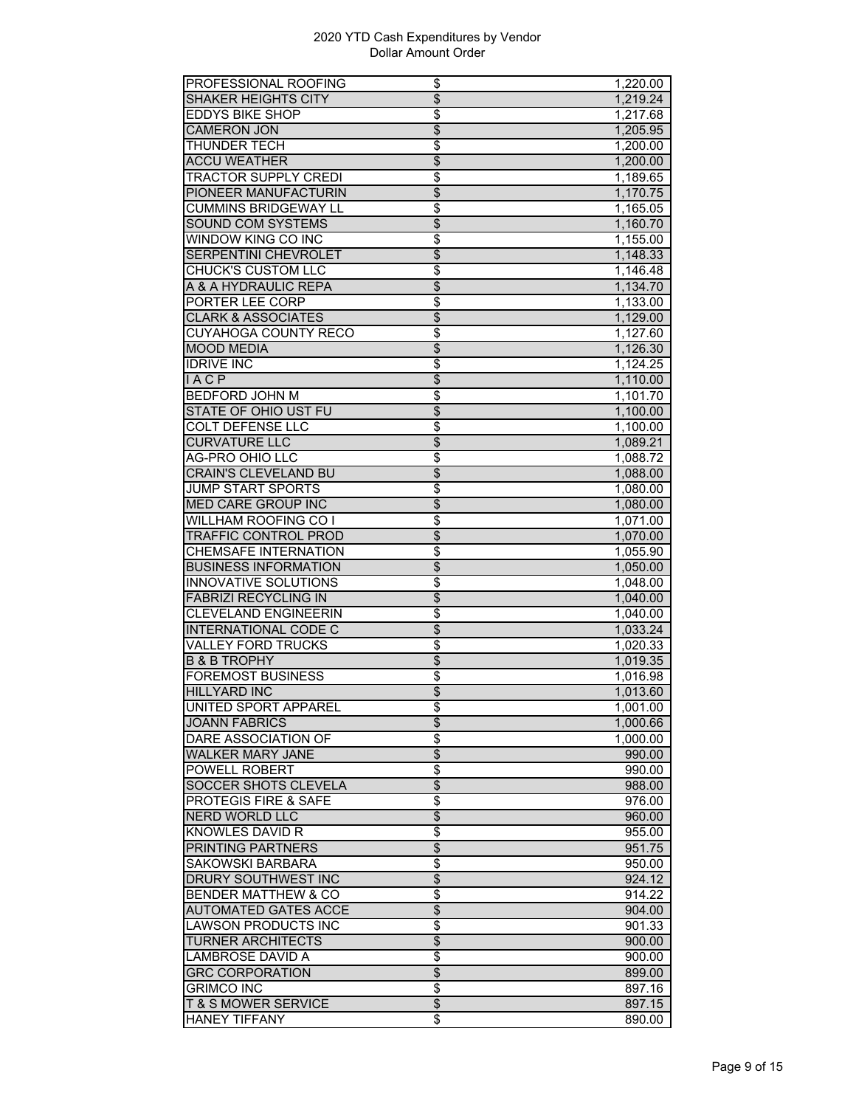| SHAKER HEIGHTS CITY<br>1,219.24<br><b>EDDYS BIKE SHOP</b><br>\$<br>1,217.68<br>$\overline{\$}$<br><b>CAMERON JON</b><br>1,205.95<br><b>THUNDER TECH</b><br>\$<br>1,200.00<br>$\overline{\$}$<br><b>ACCU WEATHER</b><br>1,200.00<br><b>TRACTOR SUPPLY CREDI</b><br>\$<br>1,189.65<br>$\overline{\$}$<br>PIONEER MANUFACTURIN<br>1,170.75<br><b>CUMMINS BRIDGEWAY LL</b><br>\$<br>1,165.05<br><b>SOUND COM SYSTEMS</b><br>\$<br>1,160.70<br>WINDOW KING CO INC<br>\$<br>1,155.00<br>$\overline{\$}$<br>SERPENTINI CHEVROLET<br>1,148.33<br>\$<br><b>CHUCK'S CUSTOM LLC</b><br>1,146.48<br>$\overline{\$}$<br>A & A HYDRAULIC REPA<br>1,134.70<br>PORTER LEE CORP<br>\$<br>$\overline{1}$ , 133.00<br>$\overline{\$}$<br><b>CLARK &amp; ASSOCIATES</b><br>1,129.00<br><b>CUYAHOGA COUNTY RECO</b><br>\$<br>1,127.60<br>\$<br><b>MOOD MEDIA</b><br>1,126.30<br>\$<br><b>IDRIVE INC</b><br>1,124.25<br>$\overline{\$}$<br><b>IACP</b><br>1,110.00<br>$\overline{\$}$<br><b>BEDFORD JOHN M</b><br>1,101.70<br>$\overline{\$}$<br><b>STATE OF OHIO UST FU</b><br>1,100.00<br>COLT DEFENSE LLC<br>\$<br>1.100.00<br><b>CURVATURE LLC</b><br>\$<br>1,089.21<br>AG-PRO OHIO LLC<br>\$<br>1,088.72<br>$\overline{\$}$<br><b>CRAIN'S CLEVELAND BU</b><br>1,088.00<br>$\overline{\$}$<br><b>JUMP START SPORTS</b><br>1,080.00<br>$\overline{\$}$<br><b>MED CARE GROUP INC</b><br>1,080.00<br><b>WILLHAM ROOFING CO I</b><br>\$<br>1,071.00<br>$\overline{\$}$<br><b>TRAFFIC CONTROL PROD</b><br>1,070.00<br><b>CHEMSAFE INTERNATION</b><br>\$<br>1,055.90<br><b>BUSINESS INFORMATION</b><br>\$<br>1,050.00<br>\$<br><b>INNOVATIVE SOLUTIONS</b><br>1,048.00<br>$\overline{\$}$<br><b>FABRIZI RECYCLING IN</b><br>1,040.00<br><b>CLEVELAND ENGINEERIN</b><br>$\overline{\$}$<br>1,040.00<br><b>INTERNATIONAL CODE C</b><br>\$<br>1,033.24<br><b>VALLEY FORD TRUCKS</b><br>\$<br>1,020.33<br><b>B &amp; B TROPHY</b><br>\$<br>1,019.35<br><b>FOREMOST BUSINESS</b><br>\$<br>1,016.98<br>\$<br><b>HILLYARD INC</b><br>1,013.60<br>UNITED SPORT APPAREL<br>$\overline{\$}$<br>1,001.00<br>$\overline{\$}$<br><b>JOANN FABRICS</b><br>1,000.66<br><b>DARE ASSOCIATION OF</b><br>\$<br>1,000.00<br>$\overline{\$}$<br><b>WALKER MARY JANE</b><br>990.00<br>POWELL ROBERT<br>\$<br>990.00<br>\$<br>SOCCER SHOTS CLEVELA<br>988.00<br><b>PROTEGIS FIRE &amp; SAFE</b><br>\$<br>976.00<br>$\overline{\$}$<br>NERD WORLD LLC<br>960.00<br>$\overline{\$}$<br>KNOWLES DAVID R<br>955.00<br>\$<br><b>PRINTING PARTNERS</b><br>951.75<br>$\overline{\$}$<br><b>SAKOWSKI BARBARA</b><br>950.00<br>$\overline{\$}$<br><b>DRURY SOUTHWEST INC</b><br>924.12<br><b>BENDER MATTHEW &amp; CO</b><br>\$<br>914.22<br>$\overline{\$}$<br><b>AUTOMATED GATES ACCE</b><br>904.00<br>\$<br>LAWSON PRODUCTS INC<br>901.33<br>\$<br><b>TURNER ARCHITECTS</b><br>900.00<br><b>LAMBROSE DAVID A</b><br>\$<br>900.00<br>\$<br><b>GRC CORPORATION</b><br>899.00<br>\$<br><b>GRIMCO INC</b><br>897.16<br>$\overline{\mathcal{L}}$<br><b>T &amp; S MOWER SERVICE</b><br>897.15 | PROFESSIONAL ROOFING | \$              | 1,220.00 |
|-----------------------------------------------------------------------------------------------------------------------------------------------------------------------------------------------------------------------------------------------------------------------------------------------------------------------------------------------------------------------------------------------------------------------------------------------------------------------------------------------------------------------------------------------------------------------------------------------------------------------------------------------------------------------------------------------------------------------------------------------------------------------------------------------------------------------------------------------------------------------------------------------------------------------------------------------------------------------------------------------------------------------------------------------------------------------------------------------------------------------------------------------------------------------------------------------------------------------------------------------------------------------------------------------------------------------------------------------------------------------------------------------------------------------------------------------------------------------------------------------------------------------------------------------------------------------------------------------------------------------------------------------------------------------------------------------------------------------------------------------------------------------------------------------------------------------------------------------------------------------------------------------------------------------------------------------------------------------------------------------------------------------------------------------------------------------------------------------------------------------------------------------------------------------------------------------------------------------------------------------------------------------------------------------------------------------------------------------------------------------------------------------------------------------------------------------------------------------------------------------------------------------------------------------------------------------------------------------------------------------------------------------------------------------------------------------------------------------------------------------------------------------------------------------------------------------------------------------------------------------------------------------------------------------------------------------------------------------------------------------------------------------------------|----------------------|-----------------|----------|
|                                                                                                                                                                                                                                                                                                                                                                                                                                                                                                                                                                                                                                                                                                                                                                                                                                                                                                                                                                                                                                                                                                                                                                                                                                                                                                                                                                                                                                                                                                                                                                                                                                                                                                                                                                                                                                                                                                                                                                                                                                                                                                                                                                                                                                                                                                                                                                                                                                                                                                                                                                                                                                                                                                                                                                                                                                                                                                                                                                                                                                   |                      | $\overline{\$}$ |          |
|                                                                                                                                                                                                                                                                                                                                                                                                                                                                                                                                                                                                                                                                                                                                                                                                                                                                                                                                                                                                                                                                                                                                                                                                                                                                                                                                                                                                                                                                                                                                                                                                                                                                                                                                                                                                                                                                                                                                                                                                                                                                                                                                                                                                                                                                                                                                                                                                                                                                                                                                                                                                                                                                                                                                                                                                                                                                                                                                                                                                                                   |                      |                 |          |
|                                                                                                                                                                                                                                                                                                                                                                                                                                                                                                                                                                                                                                                                                                                                                                                                                                                                                                                                                                                                                                                                                                                                                                                                                                                                                                                                                                                                                                                                                                                                                                                                                                                                                                                                                                                                                                                                                                                                                                                                                                                                                                                                                                                                                                                                                                                                                                                                                                                                                                                                                                                                                                                                                                                                                                                                                                                                                                                                                                                                                                   |                      |                 |          |
|                                                                                                                                                                                                                                                                                                                                                                                                                                                                                                                                                                                                                                                                                                                                                                                                                                                                                                                                                                                                                                                                                                                                                                                                                                                                                                                                                                                                                                                                                                                                                                                                                                                                                                                                                                                                                                                                                                                                                                                                                                                                                                                                                                                                                                                                                                                                                                                                                                                                                                                                                                                                                                                                                                                                                                                                                                                                                                                                                                                                                                   |                      |                 |          |
|                                                                                                                                                                                                                                                                                                                                                                                                                                                                                                                                                                                                                                                                                                                                                                                                                                                                                                                                                                                                                                                                                                                                                                                                                                                                                                                                                                                                                                                                                                                                                                                                                                                                                                                                                                                                                                                                                                                                                                                                                                                                                                                                                                                                                                                                                                                                                                                                                                                                                                                                                                                                                                                                                                                                                                                                                                                                                                                                                                                                                                   |                      |                 |          |
|                                                                                                                                                                                                                                                                                                                                                                                                                                                                                                                                                                                                                                                                                                                                                                                                                                                                                                                                                                                                                                                                                                                                                                                                                                                                                                                                                                                                                                                                                                                                                                                                                                                                                                                                                                                                                                                                                                                                                                                                                                                                                                                                                                                                                                                                                                                                                                                                                                                                                                                                                                                                                                                                                                                                                                                                                                                                                                                                                                                                                                   |                      |                 |          |
|                                                                                                                                                                                                                                                                                                                                                                                                                                                                                                                                                                                                                                                                                                                                                                                                                                                                                                                                                                                                                                                                                                                                                                                                                                                                                                                                                                                                                                                                                                                                                                                                                                                                                                                                                                                                                                                                                                                                                                                                                                                                                                                                                                                                                                                                                                                                                                                                                                                                                                                                                                                                                                                                                                                                                                                                                                                                                                                                                                                                                                   |                      |                 |          |
|                                                                                                                                                                                                                                                                                                                                                                                                                                                                                                                                                                                                                                                                                                                                                                                                                                                                                                                                                                                                                                                                                                                                                                                                                                                                                                                                                                                                                                                                                                                                                                                                                                                                                                                                                                                                                                                                                                                                                                                                                                                                                                                                                                                                                                                                                                                                                                                                                                                                                                                                                                                                                                                                                                                                                                                                                                                                                                                                                                                                                                   |                      |                 |          |
|                                                                                                                                                                                                                                                                                                                                                                                                                                                                                                                                                                                                                                                                                                                                                                                                                                                                                                                                                                                                                                                                                                                                                                                                                                                                                                                                                                                                                                                                                                                                                                                                                                                                                                                                                                                                                                                                                                                                                                                                                                                                                                                                                                                                                                                                                                                                                                                                                                                                                                                                                                                                                                                                                                                                                                                                                                                                                                                                                                                                                                   |                      |                 |          |
|                                                                                                                                                                                                                                                                                                                                                                                                                                                                                                                                                                                                                                                                                                                                                                                                                                                                                                                                                                                                                                                                                                                                                                                                                                                                                                                                                                                                                                                                                                                                                                                                                                                                                                                                                                                                                                                                                                                                                                                                                                                                                                                                                                                                                                                                                                                                                                                                                                                                                                                                                                                                                                                                                                                                                                                                                                                                                                                                                                                                                                   |                      |                 |          |
|                                                                                                                                                                                                                                                                                                                                                                                                                                                                                                                                                                                                                                                                                                                                                                                                                                                                                                                                                                                                                                                                                                                                                                                                                                                                                                                                                                                                                                                                                                                                                                                                                                                                                                                                                                                                                                                                                                                                                                                                                                                                                                                                                                                                                                                                                                                                                                                                                                                                                                                                                                                                                                                                                                                                                                                                                                                                                                                                                                                                                                   |                      |                 |          |
|                                                                                                                                                                                                                                                                                                                                                                                                                                                                                                                                                                                                                                                                                                                                                                                                                                                                                                                                                                                                                                                                                                                                                                                                                                                                                                                                                                                                                                                                                                                                                                                                                                                                                                                                                                                                                                                                                                                                                                                                                                                                                                                                                                                                                                                                                                                                                                                                                                                                                                                                                                                                                                                                                                                                                                                                                                                                                                                                                                                                                                   |                      |                 |          |
|                                                                                                                                                                                                                                                                                                                                                                                                                                                                                                                                                                                                                                                                                                                                                                                                                                                                                                                                                                                                                                                                                                                                                                                                                                                                                                                                                                                                                                                                                                                                                                                                                                                                                                                                                                                                                                                                                                                                                                                                                                                                                                                                                                                                                                                                                                                                                                                                                                                                                                                                                                                                                                                                                                                                                                                                                                                                                                                                                                                                                                   |                      |                 |          |
|                                                                                                                                                                                                                                                                                                                                                                                                                                                                                                                                                                                                                                                                                                                                                                                                                                                                                                                                                                                                                                                                                                                                                                                                                                                                                                                                                                                                                                                                                                                                                                                                                                                                                                                                                                                                                                                                                                                                                                                                                                                                                                                                                                                                                                                                                                                                                                                                                                                                                                                                                                                                                                                                                                                                                                                                                                                                                                                                                                                                                                   |                      |                 |          |
|                                                                                                                                                                                                                                                                                                                                                                                                                                                                                                                                                                                                                                                                                                                                                                                                                                                                                                                                                                                                                                                                                                                                                                                                                                                                                                                                                                                                                                                                                                                                                                                                                                                                                                                                                                                                                                                                                                                                                                                                                                                                                                                                                                                                                                                                                                                                                                                                                                                                                                                                                                                                                                                                                                                                                                                                                                                                                                                                                                                                                                   |                      |                 |          |
|                                                                                                                                                                                                                                                                                                                                                                                                                                                                                                                                                                                                                                                                                                                                                                                                                                                                                                                                                                                                                                                                                                                                                                                                                                                                                                                                                                                                                                                                                                                                                                                                                                                                                                                                                                                                                                                                                                                                                                                                                                                                                                                                                                                                                                                                                                                                                                                                                                                                                                                                                                                                                                                                                                                                                                                                                                                                                                                                                                                                                                   |                      |                 |          |
|                                                                                                                                                                                                                                                                                                                                                                                                                                                                                                                                                                                                                                                                                                                                                                                                                                                                                                                                                                                                                                                                                                                                                                                                                                                                                                                                                                                                                                                                                                                                                                                                                                                                                                                                                                                                                                                                                                                                                                                                                                                                                                                                                                                                                                                                                                                                                                                                                                                                                                                                                                                                                                                                                                                                                                                                                                                                                                                                                                                                                                   |                      |                 |          |
|                                                                                                                                                                                                                                                                                                                                                                                                                                                                                                                                                                                                                                                                                                                                                                                                                                                                                                                                                                                                                                                                                                                                                                                                                                                                                                                                                                                                                                                                                                                                                                                                                                                                                                                                                                                                                                                                                                                                                                                                                                                                                                                                                                                                                                                                                                                                                                                                                                                                                                                                                                                                                                                                                                                                                                                                                                                                                                                                                                                                                                   |                      |                 |          |
|                                                                                                                                                                                                                                                                                                                                                                                                                                                                                                                                                                                                                                                                                                                                                                                                                                                                                                                                                                                                                                                                                                                                                                                                                                                                                                                                                                                                                                                                                                                                                                                                                                                                                                                                                                                                                                                                                                                                                                                                                                                                                                                                                                                                                                                                                                                                                                                                                                                                                                                                                                                                                                                                                                                                                                                                                                                                                                                                                                                                                                   |                      |                 |          |
|                                                                                                                                                                                                                                                                                                                                                                                                                                                                                                                                                                                                                                                                                                                                                                                                                                                                                                                                                                                                                                                                                                                                                                                                                                                                                                                                                                                                                                                                                                                                                                                                                                                                                                                                                                                                                                                                                                                                                                                                                                                                                                                                                                                                                                                                                                                                                                                                                                                                                                                                                                                                                                                                                                                                                                                                                                                                                                                                                                                                                                   |                      |                 |          |
|                                                                                                                                                                                                                                                                                                                                                                                                                                                                                                                                                                                                                                                                                                                                                                                                                                                                                                                                                                                                                                                                                                                                                                                                                                                                                                                                                                                                                                                                                                                                                                                                                                                                                                                                                                                                                                                                                                                                                                                                                                                                                                                                                                                                                                                                                                                                                                                                                                                                                                                                                                                                                                                                                                                                                                                                                                                                                                                                                                                                                                   |                      |                 |          |
|                                                                                                                                                                                                                                                                                                                                                                                                                                                                                                                                                                                                                                                                                                                                                                                                                                                                                                                                                                                                                                                                                                                                                                                                                                                                                                                                                                                                                                                                                                                                                                                                                                                                                                                                                                                                                                                                                                                                                                                                                                                                                                                                                                                                                                                                                                                                                                                                                                                                                                                                                                                                                                                                                                                                                                                                                                                                                                                                                                                                                                   |                      |                 |          |
|                                                                                                                                                                                                                                                                                                                                                                                                                                                                                                                                                                                                                                                                                                                                                                                                                                                                                                                                                                                                                                                                                                                                                                                                                                                                                                                                                                                                                                                                                                                                                                                                                                                                                                                                                                                                                                                                                                                                                                                                                                                                                                                                                                                                                                                                                                                                                                                                                                                                                                                                                                                                                                                                                                                                                                                                                                                                                                                                                                                                                                   |                      |                 |          |
|                                                                                                                                                                                                                                                                                                                                                                                                                                                                                                                                                                                                                                                                                                                                                                                                                                                                                                                                                                                                                                                                                                                                                                                                                                                                                                                                                                                                                                                                                                                                                                                                                                                                                                                                                                                                                                                                                                                                                                                                                                                                                                                                                                                                                                                                                                                                                                                                                                                                                                                                                                                                                                                                                                                                                                                                                                                                                                                                                                                                                                   |                      |                 |          |
|                                                                                                                                                                                                                                                                                                                                                                                                                                                                                                                                                                                                                                                                                                                                                                                                                                                                                                                                                                                                                                                                                                                                                                                                                                                                                                                                                                                                                                                                                                                                                                                                                                                                                                                                                                                                                                                                                                                                                                                                                                                                                                                                                                                                                                                                                                                                                                                                                                                                                                                                                                                                                                                                                                                                                                                                                                                                                                                                                                                                                                   |                      |                 |          |
|                                                                                                                                                                                                                                                                                                                                                                                                                                                                                                                                                                                                                                                                                                                                                                                                                                                                                                                                                                                                                                                                                                                                                                                                                                                                                                                                                                                                                                                                                                                                                                                                                                                                                                                                                                                                                                                                                                                                                                                                                                                                                                                                                                                                                                                                                                                                                                                                                                                                                                                                                                                                                                                                                                                                                                                                                                                                                                                                                                                                                                   |                      |                 |          |
|                                                                                                                                                                                                                                                                                                                                                                                                                                                                                                                                                                                                                                                                                                                                                                                                                                                                                                                                                                                                                                                                                                                                                                                                                                                                                                                                                                                                                                                                                                                                                                                                                                                                                                                                                                                                                                                                                                                                                                                                                                                                                                                                                                                                                                                                                                                                                                                                                                                                                                                                                                                                                                                                                                                                                                                                                                                                                                                                                                                                                                   |                      |                 |          |
|                                                                                                                                                                                                                                                                                                                                                                                                                                                                                                                                                                                                                                                                                                                                                                                                                                                                                                                                                                                                                                                                                                                                                                                                                                                                                                                                                                                                                                                                                                                                                                                                                                                                                                                                                                                                                                                                                                                                                                                                                                                                                                                                                                                                                                                                                                                                                                                                                                                                                                                                                                                                                                                                                                                                                                                                                                                                                                                                                                                                                                   |                      |                 |          |
|                                                                                                                                                                                                                                                                                                                                                                                                                                                                                                                                                                                                                                                                                                                                                                                                                                                                                                                                                                                                                                                                                                                                                                                                                                                                                                                                                                                                                                                                                                                                                                                                                                                                                                                                                                                                                                                                                                                                                                                                                                                                                                                                                                                                                                                                                                                                                                                                                                                                                                                                                                                                                                                                                                                                                                                                                                                                                                                                                                                                                                   |                      |                 |          |
|                                                                                                                                                                                                                                                                                                                                                                                                                                                                                                                                                                                                                                                                                                                                                                                                                                                                                                                                                                                                                                                                                                                                                                                                                                                                                                                                                                                                                                                                                                                                                                                                                                                                                                                                                                                                                                                                                                                                                                                                                                                                                                                                                                                                                                                                                                                                                                                                                                                                                                                                                                                                                                                                                                                                                                                                                                                                                                                                                                                                                                   |                      |                 |          |
|                                                                                                                                                                                                                                                                                                                                                                                                                                                                                                                                                                                                                                                                                                                                                                                                                                                                                                                                                                                                                                                                                                                                                                                                                                                                                                                                                                                                                                                                                                                                                                                                                                                                                                                                                                                                                                                                                                                                                                                                                                                                                                                                                                                                                                                                                                                                                                                                                                                                                                                                                                                                                                                                                                                                                                                                                                                                                                                                                                                                                                   |                      |                 |          |
|                                                                                                                                                                                                                                                                                                                                                                                                                                                                                                                                                                                                                                                                                                                                                                                                                                                                                                                                                                                                                                                                                                                                                                                                                                                                                                                                                                                                                                                                                                                                                                                                                                                                                                                                                                                                                                                                                                                                                                                                                                                                                                                                                                                                                                                                                                                                                                                                                                                                                                                                                                                                                                                                                                                                                                                                                                                                                                                                                                                                                                   |                      |                 |          |
|                                                                                                                                                                                                                                                                                                                                                                                                                                                                                                                                                                                                                                                                                                                                                                                                                                                                                                                                                                                                                                                                                                                                                                                                                                                                                                                                                                                                                                                                                                                                                                                                                                                                                                                                                                                                                                                                                                                                                                                                                                                                                                                                                                                                                                                                                                                                                                                                                                                                                                                                                                                                                                                                                                                                                                                                                                                                                                                                                                                                                                   |                      |                 |          |
|                                                                                                                                                                                                                                                                                                                                                                                                                                                                                                                                                                                                                                                                                                                                                                                                                                                                                                                                                                                                                                                                                                                                                                                                                                                                                                                                                                                                                                                                                                                                                                                                                                                                                                                                                                                                                                                                                                                                                                                                                                                                                                                                                                                                                                                                                                                                                                                                                                                                                                                                                                                                                                                                                                                                                                                                                                                                                                                                                                                                                                   |                      |                 |          |
|                                                                                                                                                                                                                                                                                                                                                                                                                                                                                                                                                                                                                                                                                                                                                                                                                                                                                                                                                                                                                                                                                                                                                                                                                                                                                                                                                                                                                                                                                                                                                                                                                                                                                                                                                                                                                                                                                                                                                                                                                                                                                                                                                                                                                                                                                                                                                                                                                                                                                                                                                                                                                                                                                                                                                                                                                                                                                                                                                                                                                                   |                      |                 |          |
|                                                                                                                                                                                                                                                                                                                                                                                                                                                                                                                                                                                                                                                                                                                                                                                                                                                                                                                                                                                                                                                                                                                                                                                                                                                                                                                                                                                                                                                                                                                                                                                                                                                                                                                                                                                                                                                                                                                                                                                                                                                                                                                                                                                                                                                                                                                                                                                                                                                                                                                                                                                                                                                                                                                                                                                                                                                                                                                                                                                                                                   |                      |                 |          |
|                                                                                                                                                                                                                                                                                                                                                                                                                                                                                                                                                                                                                                                                                                                                                                                                                                                                                                                                                                                                                                                                                                                                                                                                                                                                                                                                                                                                                                                                                                                                                                                                                                                                                                                                                                                                                                                                                                                                                                                                                                                                                                                                                                                                                                                                                                                                                                                                                                                                                                                                                                                                                                                                                                                                                                                                                                                                                                                                                                                                                                   |                      |                 |          |
|                                                                                                                                                                                                                                                                                                                                                                                                                                                                                                                                                                                                                                                                                                                                                                                                                                                                                                                                                                                                                                                                                                                                                                                                                                                                                                                                                                                                                                                                                                                                                                                                                                                                                                                                                                                                                                                                                                                                                                                                                                                                                                                                                                                                                                                                                                                                                                                                                                                                                                                                                                                                                                                                                                                                                                                                                                                                                                                                                                                                                                   |                      |                 |          |
|                                                                                                                                                                                                                                                                                                                                                                                                                                                                                                                                                                                                                                                                                                                                                                                                                                                                                                                                                                                                                                                                                                                                                                                                                                                                                                                                                                                                                                                                                                                                                                                                                                                                                                                                                                                                                                                                                                                                                                                                                                                                                                                                                                                                                                                                                                                                                                                                                                                                                                                                                                                                                                                                                                                                                                                                                                                                                                                                                                                                                                   |                      |                 |          |
|                                                                                                                                                                                                                                                                                                                                                                                                                                                                                                                                                                                                                                                                                                                                                                                                                                                                                                                                                                                                                                                                                                                                                                                                                                                                                                                                                                                                                                                                                                                                                                                                                                                                                                                                                                                                                                                                                                                                                                                                                                                                                                                                                                                                                                                                                                                                                                                                                                                                                                                                                                                                                                                                                                                                                                                                                                                                                                                                                                                                                                   |                      |                 |          |
|                                                                                                                                                                                                                                                                                                                                                                                                                                                                                                                                                                                                                                                                                                                                                                                                                                                                                                                                                                                                                                                                                                                                                                                                                                                                                                                                                                                                                                                                                                                                                                                                                                                                                                                                                                                                                                                                                                                                                                                                                                                                                                                                                                                                                                                                                                                                                                                                                                                                                                                                                                                                                                                                                                                                                                                                                                                                                                                                                                                                                                   |                      |                 |          |
|                                                                                                                                                                                                                                                                                                                                                                                                                                                                                                                                                                                                                                                                                                                                                                                                                                                                                                                                                                                                                                                                                                                                                                                                                                                                                                                                                                                                                                                                                                                                                                                                                                                                                                                                                                                                                                                                                                                                                                                                                                                                                                                                                                                                                                                                                                                                                                                                                                                                                                                                                                                                                                                                                                                                                                                                                                                                                                                                                                                                                                   |                      |                 |          |
|                                                                                                                                                                                                                                                                                                                                                                                                                                                                                                                                                                                                                                                                                                                                                                                                                                                                                                                                                                                                                                                                                                                                                                                                                                                                                                                                                                                                                                                                                                                                                                                                                                                                                                                                                                                                                                                                                                                                                                                                                                                                                                                                                                                                                                                                                                                                                                                                                                                                                                                                                                                                                                                                                                                                                                                                                                                                                                                                                                                                                                   |                      |                 |          |
|                                                                                                                                                                                                                                                                                                                                                                                                                                                                                                                                                                                                                                                                                                                                                                                                                                                                                                                                                                                                                                                                                                                                                                                                                                                                                                                                                                                                                                                                                                                                                                                                                                                                                                                                                                                                                                                                                                                                                                                                                                                                                                                                                                                                                                                                                                                                                                                                                                                                                                                                                                                                                                                                                                                                                                                                                                                                                                                                                                                                                                   |                      |                 |          |
|                                                                                                                                                                                                                                                                                                                                                                                                                                                                                                                                                                                                                                                                                                                                                                                                                                                                                                                                                                                                                                                                                                                                                                                                                                                                                                                                                                                                                                                                                                                                                                                                                                                                                                                                                                                                                                                                                                                                                                                                                                                                                                                                                                                                                                                                                                                                                                                                                                                                                                                                                                                                                                                                                                                                                                                                                                                                                                                                                                                                                                   |                      |                 |          |
|                                                                                                                                                                                                                                                                                                                                                                                                                                                                                                                                                                                                                                                                                                                                                                                                                                                                                                                                                                                                                                                                                                                                                                                                                                                                                                                                                                                                                                                                                                                                                                                                                                                                                                                                                                                                                                                                                                                                                                                                                                                                                                                                                                                                                                                                                                                                                                                                                                                                                                                                                                                                                                                                                                                                                                                                                                                                                                                                                                                                                                   |                      |                 |          |
|                                                                                                                                                                                                                                                                                                                                                                                                                                                                                                                                                                                                                                                                                                                                                                                                                                                                                                                                                                                                                                                                                                                                                                                                                                                                                                                                                                                                                                                                                                                                                                                                                                                                                                                                                                                                                                                                                                                                                                                                                                                                                                                                                                                                                                                                                                                                                                                                                                                                                                                                                                                                                                                                                                                                                                                                                                                                                                                                                                                                                                   |                      |                 |          |
|                                                                                                                                                                                                                                                                                                                                                                                                                                                                                                                                                                                                                                                                                                                                                                                                                                                                                                                                                                                                                                                                                                                                                                                                                                                                                                                                                                                                                                                                                                                                                                                                                                                                                                                                                                                                                                                                                                                                                                                                                                                                                                                                                                                                                                                                                                                                                                                                                                                                                                                                                                                                                                                                                                                                                                                                                                                                                                                                                                                                                                   |                      |                 |          |
|                                                                                                                                                                                                                                                                                                                                                                                                                                                                                                                                                                                                                                                                                                                                                                                                                                                                                                                                                                                                                                                                                                                                                                                                                                                                                                                                                                                                                                                                                                                                                                                                                                                                                                                                                                                                                                                                                                                                                                                                                                                                                                                                                                                                                                                                                                                                                                                                                                                                                                                                                                                                                                                                                                                                                                                                                                                                                                                                                                                                                                   |                      |                 |          |
|                                                                                                                                                                                                                                                                                                                                                                                                                                                                                                                                                                                                                                                                                                                                                                                                                                                                                                                                                                                                                                                                                                                                                                                                                                                                                                                                                                                                                                                                                                                                                                                                                                                                                                                                                                                                                                                                                                                                                                                                                                                                                                                                                                                                                                                                                                                                                                                                                                                                                                                                                                                                                                                                                                                                                                                                                                                                                                                                                                                                                                   |                      |                 |          |
|                                                                                                                                                                                                                                                                                                                                                                                                                                                                                                                                                                                                                                                                                                                                                                                                                                                                                                                                                                                                                                                                                                                                                                                                                                                                                                                                                                                                                                                                                                                                                                                                                                                                                                                                                                                                                                                                                                                                                                                                                                                                                                                                                                                                                                                                                                                                                                                                                                                                                                                                                                                                                                                                                                                                                                                                                                                                                                                                                                                                                                   |                      |                 |          |
|                                                                                                                                                                                                                                                                                                                                                                                                                                                                                                                                                                                                                                                                                                                                                                                                                                                                                                                                                                                                                                                                                                                                                                                                                                                                                                                                                                                                                                                                                                                                                                                                                                                                                                                                                                                                                                                                                                                                                                                                                                                                                                                                                                                                                                                                                                                                                                                                                                                                                                                                                                                                                                                                                                                                                                                                                                                                                                                                                                                                                                   |                      |                 |          |
|                                                                                                                                                                                                                                                                                                                                                                                                                                                                                                                                                                                                                                                                                                                                                                                                                                                                                                                                                                                                                                                                                                                                                                                                                                                                                                                                                                                                                                                                                                                                                                                                                                                                                                                                                                                                                                                                                                                                                                                                                                                                                                                                                                                                                                                                                                                                                                                                                                                                                                                                                                                                                                                                                                                                                                                                                                                                                                                                                                                                                                   |                      |                 |          |
|                                                                                                                                                                                                                                                                                                                                                                                                                                                                                                                                                                                                                                                                                                                                                                                                                                                                                                                                                                                                                                                                                                                                                                                                                                                                                                                                                                                                                                                                                                                                                                                                                                                                                                                                                                                                                                                                                                                                                                                                                                                                                                                                                                                                                                                                                                                                                                                                                                                                                                                                                                                                                                                                                                                                                                                                                                                                                                                                                                                                                                   |                      |                 |          |
|                                                                                                                                                                                                                                                                                                                                                                                                                                                                                                                                                                                                                                                                                                                                                                                                                                                                                                                                                                                                                                                                                                                                                                                                                                                                                                                                                                                                                                                                                                                                                                                                                                                                                                                                                                                                                                                                                                                                                                                                                                                                                                                                                                                                                                                                                                                                                                                                                                                                                                                                                                                                                                                                                                                                                                                                                                                                                                                                                                                                                                   |                      |                 |          |
|                                                                                                                                                                                                                                                                                                                                                                                                                                                                                                                                                                                                                                                                                                                                                                                                                                                                                                                                                                                                                                                                                                                                                                                                                                                                                                                                                                                                                                                                                                                                                                                                                                                                                                                                                                                                                                                                                                                                                                                                                                                                                                                                                                                                                                                                                                                                                                                                                                                                                                                                                                                                                                                                                                                                                                                                                                                                                                                                                                                                                                   |                      |                 |          |
|                                                                                                                                                                                                                                                                                                                                                                                                                                                                                                                                                                                                                                                                                                                                                                                                                                                                                                                                                                                                                                                                                                                                                                                                                                                                                                                                                                                                                                                                                                                                                                                                                                                                                                                                                                                                                                                                                                                                                                                                                                                                                                                                                                                                                                                                                                                                                                                                                                                                                                                                                                                                                                                                                                                                                                                                                                                                                                                                                                                                                                   |                      |                 |          |
|                                                                                                                                                                                                                                                                                                                                                                                                                                                                                                                                                                                                                                                                                                                                                                                                                                                                                                                                                                                                                                                                                                                                                                                                                                                                                                                                                                                                                                                                                                                                                                                                                                                                                                                                                                                                                                                                                                                                                                                                                                                                                                                                                                                                                                                                                                                                                                                                                                                                                                                                                                                                                                                                                                                                                                                                                                                                                                                                                                                                                                   |                      |                 |          |
|                                                                                                                                                                                                                                                                                                                                                                                                                                                                                                                                                                                                                                                                                                                                                                                                                                                                                                                                                                                                                                                                                                                                                                                                                                                                                                                                                                                                                                                                                                                                                                                                                                                                                                                                                                                                                                                                                                                                                                                                                                                                                                                                                                                                                                                                                                                                                                                                                                                                                                                                                                                                                                                                                                                                                                                                                                                                                                                                                                                                                                   |                      |                 |          |
|                                                                                                                                                                                                                                                                                                                                                                                                                                                                                                                                                                                                                                                                                                                                                                                                                                                                                                                                                                                                                                                                                                                                                                                                                                                                                                                                                                                                                                                                                                                                                                                                                                                                                                                                                                                                                                                                                                                                                                                                                                                                                                                                                                                                                                                                                                                                                                                                                                                                                                                                                                                                                                                                                                                                                                                                                                                                                                                                                                                                                                   |                      |                 |          |
|                                                                                                                                                                                                                                                                                                                                                                                                                                                                                                                                                                                                                                                                                                                                                                                                                                                                                                                                                                                                                                                                                                                                                                                                                                                                                                                                                                                                                                                                                                                                                                                                                                                                                                                                                                                                                                                                                                                                                                                                                                                                                                                                                                                                                                                                                                                                                                                                                                                                                                                                                                                                                                                                                                                                                                                                                                                                                                                                                                                                                                   | <b>HANEY TIFFANY</b> | \$              | 890.00   |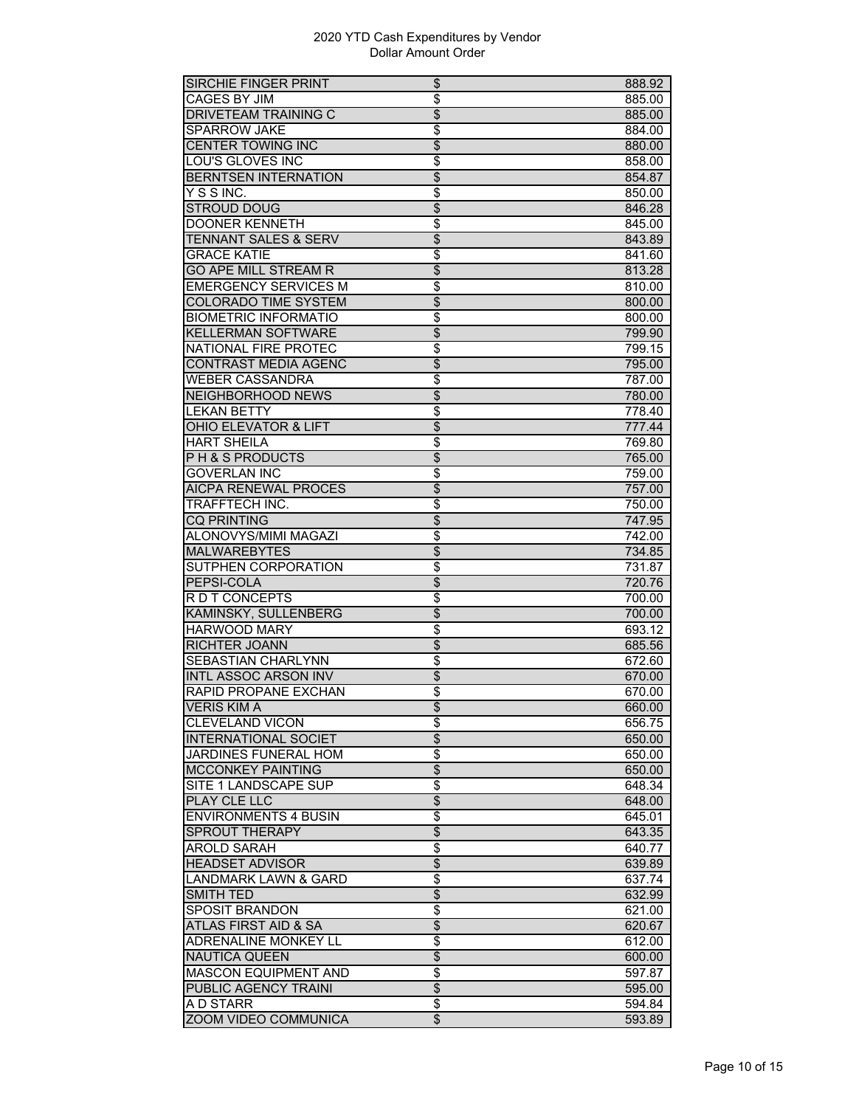| SIRCHIE FINGER PRINT            | \$                       | 888.92 |
|---------------------------------|--------------------------|--------|
| <b>CAGES BY JIM</b>             | \$                       | 885.00 |
| DRIVETEAM TRAINING C            | \$                       | 885.00 |
| <b>SPARROW JAKE</b>             | \$                       | 884.00 |
| <b>CENTER TOWING INC</b>        | $\overline{\$}$          | 880.00 |
| <b>LOU'S GLOVES INC</b>         | \$                       | 858.00 |
| <b>BERNTSEN INTERNATION</b>     | \$                       | 854.87 |
| YSSINC.                         | \$                       | 850.00 |
| <b>STROUD DOUG</b>              | $\overline{\$}$          | 846.28 |
| <b>DOONER KENNETH</b>           | \$                       | 845.00 |
| <b>TENNANT SALES &amp; SERV</b> | \$                       | 843.89 |
| <b>GRACE KATIE</b>              | \$                       | 841.60 |
| <b>GO APE MILL STREAM R</b>     | $\overline{\$}$          |        |
|                                 |                          | 813.28 |
| <b>EMERGENCY SERVICES M</b>     | $\overline{\$}$          | 810.00 |
| <b>COLORADO TIME SYSTEM</b>     | $\overline{\$}$          | 800.00 |
| <b>BIOMETRIC INFORMATIO</b>     | \$                       | 800.00 |
| <b>KELLERMAN SOFTWARE</b>       | \$                       | 799.90 |
| <b>NATIONAL FIRE PROTEC</b>     | \$                       | 799.15 |
| CONTRAST MEDIA AGENC            | \$                       | 795.00 |
| <b>WEBER CASSANDRA</b>          | $\overline{\$}$          | 787.00 |
| <b>NEIGHBORHOOD NEWS</b>        | $\overline{\$}$          | 780.00 |
| <b>LEKAN BETTY</b>              | \$                       | 778.40 |
| OHIO ELEVATOR & LIFT            | $\overline{\$}$          | 777.44 |
| <b>HART SHEILA</b>              | \$                       | 769.80 |
| <b>PH&amp;SPRODUCTS</b>         | \$                       | 765.00 |
| <b>GOVERLAN INC</b>             | \$                       | 759.00 |
| <b>AICPA RENEWAL PROCES</b>     | $\overline{\$}$          | 757.00 |
| TRAFFTECH INC.                  | $\overline{\$}$          | 750.00 |
| <b>CQ PRINTING</b>              | $\overline{\$}$          | 747.95 |
| <b>ALONOVYS/MIMI MAGAZI</b>     | \$                       | 742.00 |
| <b>MALWAREBYTES</b>             | $\overline{\$}$          | 734.85 |
| SUTPHEN CORPORATION             | \$                       | 731.87 |
| PEPSI-COLA                      | $\overline{\$}$          | 720.76 |
| R D T CONCEPTS                  | $\overline{\$}$          | 700.00 |
| <b>KAMINSKY, SULLENBERG</b>     | $\overline{\$}$          | 700.00 |
| <b>HARWOOD MARY</b>             | \$                       | 693.12 |
| <b>RICHTER JOANN</b>            | $\overline{\$}$          | 685.56 |
|                                 |                          |        |
| SEBASTIAN CHARLYNN              | \$                       | 672.60 |
| <b>INTL ASSOC ARSON INV</b>     | \$                       | 670.00 |
| RAPID PROPANE EXCHAN            | \$                       | 670.00 |
| <b>VERIS KIM A</b>              | \$                       | 660.00 |
| <b>CLEVELAND VICON</b>          | \$                       | 656.75 |
| <b>INTERNATIONAL SOCIET</b>     | $\overline{\$}$          | 650.00 |
| <b>JARDINES FUNERAL HOM</b>     | \$                       | 650.00 |
| <b>MCCONKEY PAINTING</b>        | $\overline{\$}$          | 650.00 |
| SITE 1 LANDSCAPE SUP            | \$                       | 648.34 |
| <b>PLAY CLE LLC</b>             | $\overline{\$}$          | 648.00 |
| <b>ENVIRONMENTS 4 BUSIN</b>     | \$                       | 645.01 |
| <b>SPROUT THERAPY</b>           | $\overline{\$}$          | 643.35 |
| <b>AROLD SARAH</b>              | $\overline{\$}$          | 640.77 |
| <b>HEADSET ADVISOR</b>          | \$                       | 639.89 |
| <b>LANDMARK LAWN &amp; GARD</b> | $\overline{\$}$          | 637.74 |
| <b>SMITH TED</b>                | $\overline{\mathcal{L}}$ | 632.99 |
| <b>SPOSIT BRANDON</b>           | \$                       | 621.00 |
| ATLAS FIRST AID & SA            | \$                       | 620.67 |
| <b>ADRENALINE MONKEY LL</b>     | \$                       | 612.00 |
| <b>NAUTICA QUEEN</b>            | \$                       | 600.00 |
| <b>MASCON EQUIPMENT AND</b>     | \$                       | 597.87 |
|                                 |                          |        |
| PUBLIC AGENCY TRAINI            | $\overline{\$}$          | 595.00 |
| A D STARR                       | \$                       | 594.84 |
| ZOOM VIDEO COMMUNICA            | \$                       | 593.89 |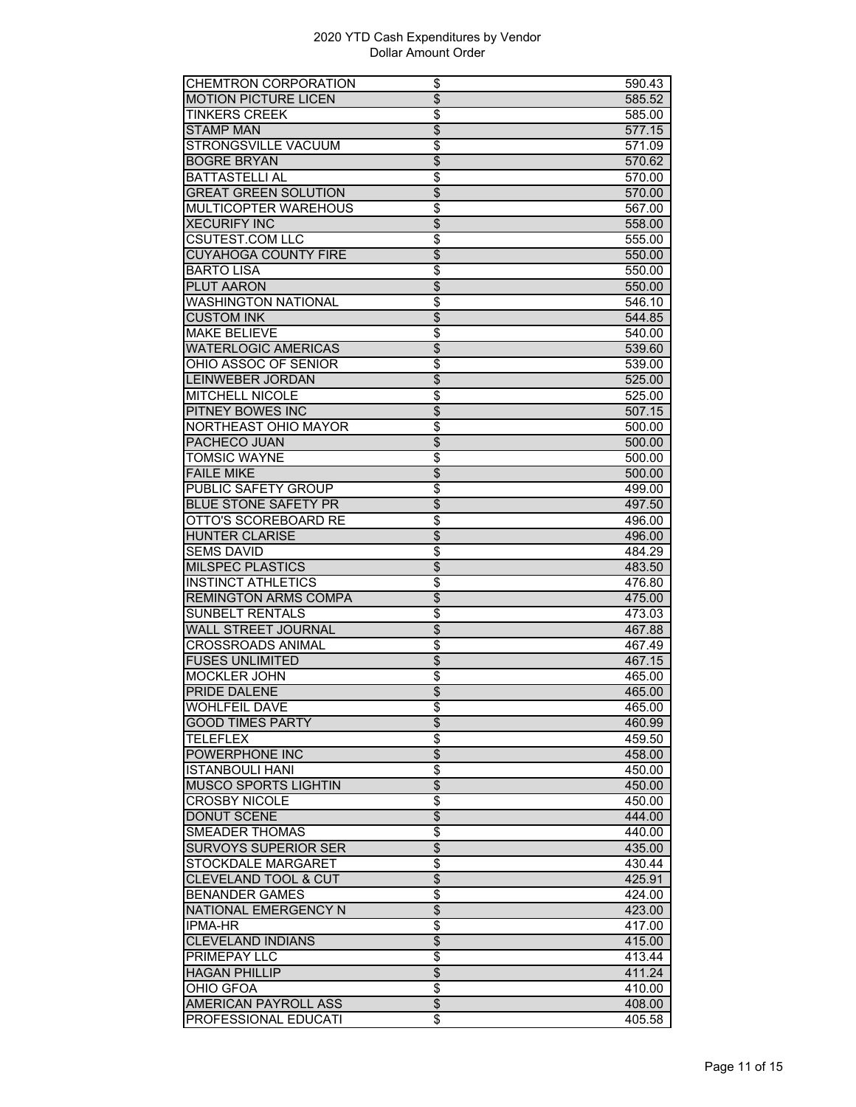| <b>CHEMTRON CORPORATION</b>                  | \$                                 | 590.43           |
|----------------------------------------------|------------------------------------|------------------|
| <b>MOTION PICTURE LICEN</b>                  | $\overline{\$}$                    | 585.52           |
| <b>TINKERS CREEK</b>                         | \$                                 | 585.00           |
| <b>STAMP MAN</b>                             | $\overline{\$}$                    | 577.15           |
| STRONGSVILLE VACUUM                          | $\overline{\$}$                    | 571.09           |
| <b>BOGRE BRYAN</b>                           | $\overline{\$}$                    | 570.62           |
| <b>BATTASTELLI AL</b>                        | \$                                 | 570.00           |
| <b>GREAT GREEN SOLUTION</b>                  | $\overline{\$}$                    | 570.00           |
| MULTICOPTER WAREHOUS                         | \$                                 | 567.00           |
| <b>XECURIFY INC</b>                          | \$                                 |                  |
|                                              |                                    | 558.00           |
| <b>CSUTEST.COM LLC</b>                       | \$                                 | 555.00           |
| <b>CUYAHOGA COUNTY FIRE</b>                  | $\overline{\$}$                    | 550.00           |
| <b>BARTO LISA</b>                            | $\overline{\$}$                    | 550.00           |
| PLUT AARON                                   | $\overline{\$}$                    | 550.00           |
| <b>WASHINGTON NATIONAL</b>                   | \$                                 | 546.10           |
| <b>CUSTOM INK</b>                            | $\overline{\$}$                    | 544.85           |
| <b>MAKE BELIEVE</b>                          | \$                                 | 540.00           |
| <b>WATERLOGIC AMERICAS</b>                   | $\overline{\$}$                    | 539.60           |
| OHIO ASSOC OF SENIOR                         | \$                                 | 539.00           |
| <b>LEINWEBER JORDAN</b>                      | $\overline{\$}$                    | 525.00           |
| <b>MITCHELL NICOLE</b>                       | \$                                 | 525.00           |
| <b>PITNEY BOWES INC</b>                      | $\overline{\$}$                    | 507.15           |
| <b>NORTHEAST OHIO MAYOR</b>                  | \$                                 | 500.00           |
| PACHECO JUAN                                 | \$                                 | 500.00           |
| <b>TOMSIC WAYNE</b>                          | \$                                 | 500.00           |
| <b>FAILE MIKE</b>                            | $\overline{\$}$                    | 500.00           |
| <b>PUBLIC SAFETY GROUP</b>                   | \$                                 | 499.00           |
| <b>BLUE STONE SAFETY PR</b>                  | $\overline{\$}$                    | 497.50           |
| <b>OTTO'S SCOREBOARD RE</b>                  | $\overline{\$}$                    | 496.00           |
| <b>HUNTER CLARISE</b>                        | $\overline{\$}$                    | 496.00           |
|                                              |                                    |                  |
|                                              |                                    |                  |
| <b>SEMS DAVID</b>                            | \$                                 | 484.29           |
| <b>MILSPEC PLASTICS</b>                      | \$                                 | 483.50           |
| <b>INSTINCT ATHLETICS</b>                    | $\overline{\$}$                    | 476.80           |
| <b>REMINGTON ARMS COMPA</b>                  | $\overline{\$}$                    | 475.00           |
| <b>SUNBELT RENTALS</b>                       | $\overline{\$}$                    | 473.03           |
| <b>WALL STREET JOURNAL</b>                   | $\overline{\$}$                    | 467.88           |
| <b>CROSSROADS ANIMAL</b>                     | \$                                 | 467.49           |
| <b>FUSES UNLIMITED</b>                       | \$                                 | 467.15           |
| <b>MOCKLER JOHN</b>                          | \$                                 | 465.00           |
| PRIDE DALENE                                 | $\overline{\$}$                    | 465.00           |
| <b>WOHLFEIL DAVE</b>                         | \$                                 | 465.00           |
| <b>GOOD TIMES PARTY</b>                      | $\overline{\$}$                    | 460.99           |
| <b>TELEFLEX</b>                              | $\overline{\boldsymbol{\epsilon}}$ | 459.50           |
| POWERPHONE INC                               | \$                                 | 458.00           |
| <b>ISTANBOULI HANI</b>                       | \$                                 | 450.00           |
| <b>MUSCO SPORTS LIGHTIN</b>                  | $\overline{\$}$                    | 450.00           |
|                                              |                                    |                  |
| <b>CROSBY NICOLE</b>                         | \$                                 | 450.00           |
| <b>DONUT SCENE</b>                           | $\overline{\$}$                    | 444.00           |
| <b>SMEADER THOMAS</b>                        | \$                                 | 440.00           |
| <b>SURVOYS SUPERIOR SER</b>                  | \$                                 | 435.00           |
| <b>STOCKDALE MARGARET</b>                    | $\overline{\$}$                    | 430.44           |
| <b>CLEVELAND TOOL &amp; CUT</b>              | $\overline{\$}$                    | 425.91           |
| <b>BENANDER GAMES</b>                        | \$                                 | 424.00           |
| <b>NATIONAL EMERGENCY N</b>                  | \$                                 | 423.00           |
| IPMA-HR                                      | $\overline{\$}$                    | 417.00           |
| <b>CLEVELAND INDIANS</b>                     | \$                                 | 415.00           |
| PRIMEPAY LLC                                 | \$                                 | 413.44           |
| <b>HAGAN PHILLIP</b>                         | $\overline{\$}$                    | 411.24           |
| OHIO GFOA                                    | \$                                 | 410.00           |
| AMERICAN PAYROLL ASS<br>PROFESSIONAL EDUCATI | $\overline{\mathcal{L}}$<br>\$     | 408.00<br>405.58 |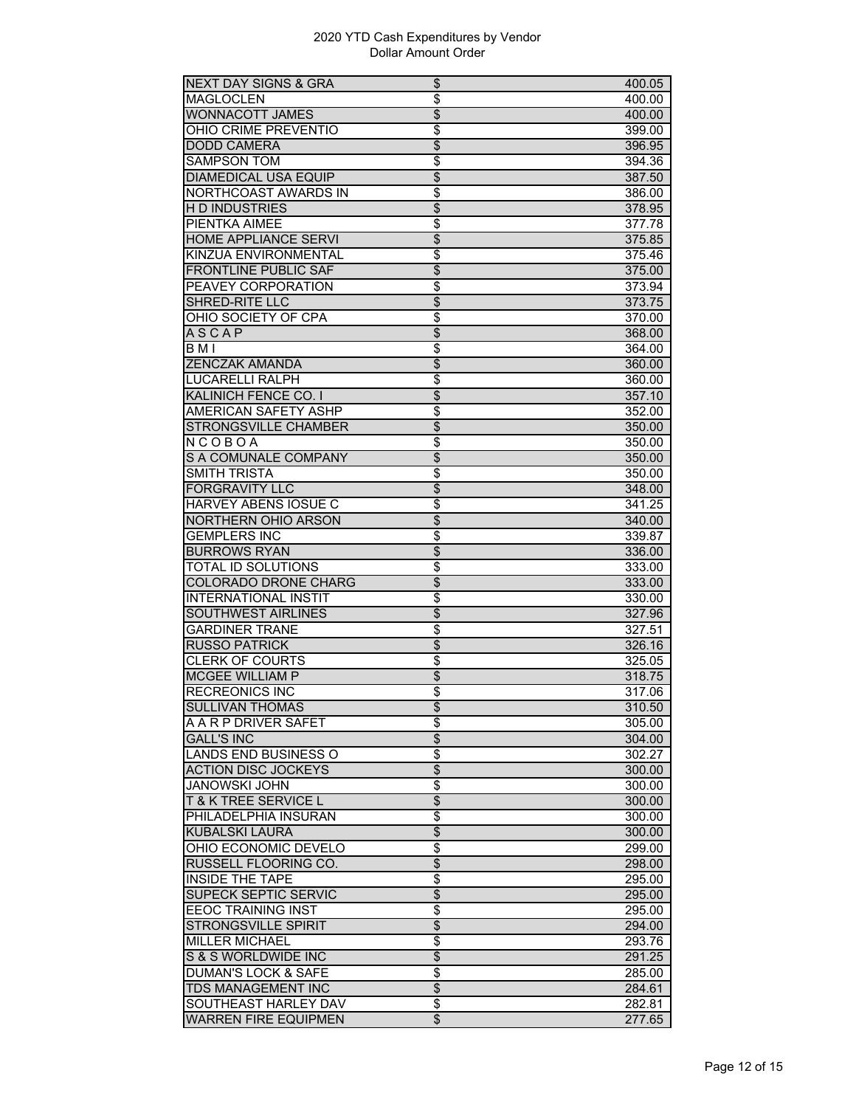| <b>NEXT DAY SIGNS &amp; GRA</b>               | \$                       | 400.05 |
|-----------------------------------------------|--------------------------|--------|
| <b>MAGLOCLEN</b>                              | \$                       | 400.00 |
| WONNACOTT JAMES                               | \$                       | 400.00 |
| OHIO CRIME PREVENTIO                          | \$                       | 399.00 |
| <b>DODD CAMERA</b>                            | $\overline{\$}$          | 396.95 |
| <b>SAMPSON TOM</b>                            | $\overline{\$}$          | 394.36 |
| <b>DIAMEDICAL USA EQUIP</b>                   | \$                       | 387.50 |
| NORTHCOAST AWARDS IN                          | \$                       | 386.00 |
| <b>HD INDUSTRIES</b>                          | \$                       | 378.95 |
| PIENTKA AIMEE                                 | \$                       | 377.78 |
| <b>HOME APPLIANCE SERVI</b>                   | \$                       | 375.85 |
| KINZUA ENVIRONMENTAL                          | $\overline{\$}$          | 375.46 |
| <b>FRONTLINE PUBLIC SAF</b>                   | $\overline{\$}$          | 375.00 |
| <b>PEAVEY CORPORATION</b>                     | \$                       | 373.94 |
| SHRED-RITE LLC                                | \$                       |        |
|                                               |                          | 373.75 |
| OHIO SOCIETY OF CPA                           | \$                       | 370.00 |
| <b>ASCAP</b>                                  | \$                       | 368.00 |
| BMI                                           | \$                       | 364.00 |
| ZENCZAK AMANDA                                | $\overline{\$}$          | 360.00 |
| LUCARELLI RALPH                               | $\overline{\$}$          | 360.00 |
| <b>KALINICH FENCE CO. I</b>                   | $\overline{\$}$          | 357.10 |
| <b>AMERICAN SAFETY ASHP</b>                   | \$                       | 352.00 |
| STRONGSVILLE CHAMBER                          | \$                       | 350.00 |
| $N$ COBOA                                     | \$                       | 350.00 |
| S A COMUNALE COMPANY                          | $\overline{\$}$          | 350.00 |
| <b>SMITH TRISTA</b>                           | $\overline{\$}$          | 350.00 |
| <b>FORGRAVITY LLC</b>                         | $\overline{\$}$          | 348.00 |
| <b>HARVEY ABENS IOSUE C</b>                   | \$                       | 341.25 |
| NORTHERN OHIO ARSON                           | $\overline{\$}$          | 340.00 |
| <b>GEMPLERS INC</b>                           | \$                       | 339.87 |
| <b>BURROWS RYAN</b>                           | \$                       | 336.00 |
| <b>TOTAL ID SOLUTIONS</b>                     | \$                       | 333.00 |
| COLORADO DRONE CHARG                          | $\overline{\$}$          | 333.00 |
| <b>INTERNATIONAL INSTIT</b>                   | $\overline{\$}$          | 330.00 |
| <b>SOUTHWEST AIRLINES</b>                     | $\overline{\$}$          | 327.96 |
| <b>GARDINER TRANE</b>                         | \$                       | 327.51 |
| <b>RUSSO PATRICK</b>                          | \$                       | 326.16 |
| <b>CLERK OF COURTS</b>                        | \$                       | 325.05 |
| <b>MCGEE WILLIAM P</b>                        | $\overline{\$}$          | 318.75 |
| <b>RECREONICS INC</b>                         | \$                       | 317.06 |
| <b>SULLIVAN THOMAS</b>                        | \$                       | 310.50 |
| A A R P DRIVER SAFET                          | \$                       | 305.00 |
| <b>GALL'S INC</b>                             | \$                       | 304.00 |
| LANDS END BUSINESS O                          | \$                       | 302.27 |
| <b>ACTION DISC JOCKEYS</b>                    | \$                       | 300.00 |
| <b>JANOWSKI JOHN</b>                          | \$                       | 300.00 |
| <b>T&amp;K TREE SERVICE L</b>                 | \$                       | 300.00 |
|                                               |                          |        |
| PHILADELPHIA INSURAN<br><b>KUBALSKI LAURA</b> | \$<br>\$                 | 300.00 |
|                                               |                          | 300.00 |
| OHIO ECONOMIC DEVELO                          | $\overline{\$}$          | 299.00 |
| RUSSELL FLOORING CO.                          | $\overline{\$}$          | 298.00 |
| <b>INSIDE THE TAPE</b>                        | \$                       | 295.00 |
| SUPECK SEPTIC SERVIC                          | \$                       | 295.00 |
| <b>EEOC TRAINING INST</b>                     | $\overline{\$}$          | 295.00 |
| <b>STRONGSVILLE SPIRIT</b>                    | \$                       | 294.00 |
| <b>MILLER MICHAEL</b>                         | $\overline{\$}$          | 293.76 |
| S & S WORLDWIDE INC                           | $\overline{\$}$          | 291.25 |
| <b>DUMAN'S LOCK &amp; SAFE</b>                | \$                       | 285.00 |
| <b>TDS MANAGEMENT INC</b>                     | $\overline{\mathcal{L}}$ | 284.61 |
| SOUTHEAST HARLEY DAV                          | \$                       | 282.81 |
| <b>WARREN FIRE EQUIPMEN</b>                   | $\overline{\$}$          | 277.65 |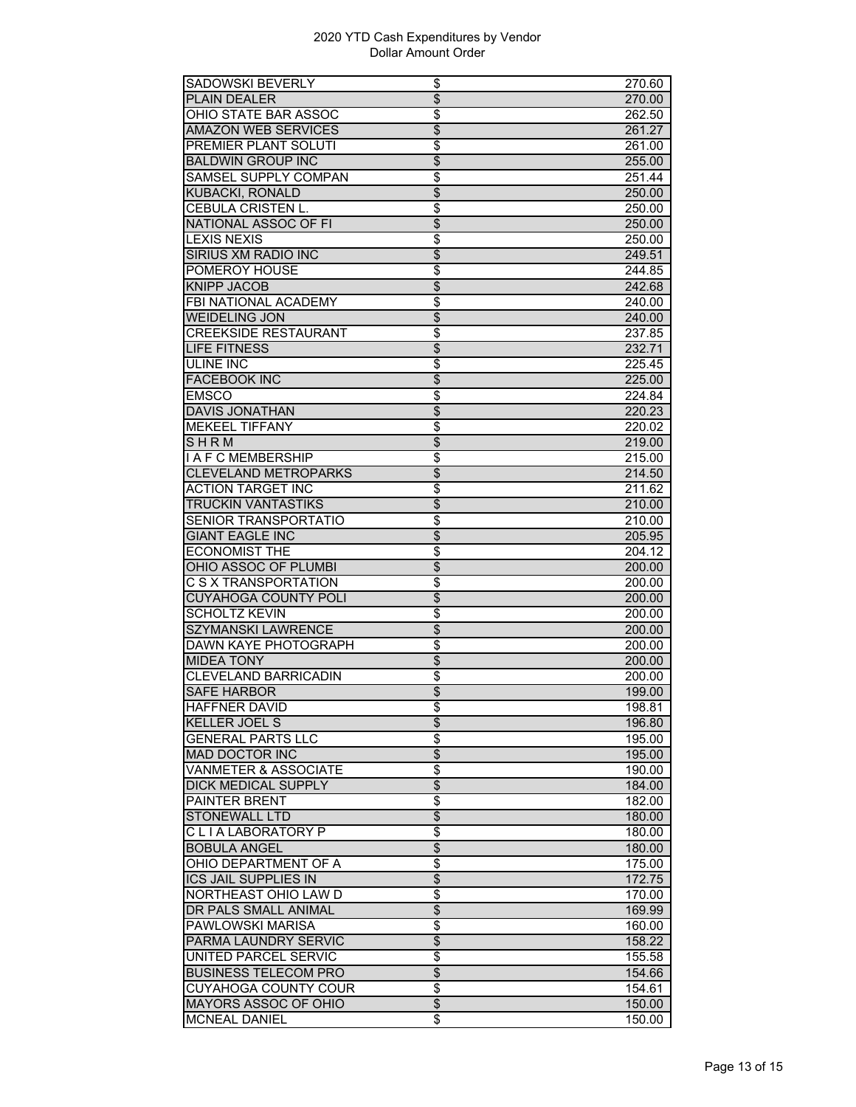| SADOWSKI BEVERLY                | \$                               | 270.60 |
|---------------------------------|----------------------------------|--------|
| <b>PLAIN DEALER</b>             | \$                               | 270.00 |
| OHIO STATE BAR ASSOC            | \$                               | 262.50 |
| <b>AMAZON WEB SERVICES</b>      | \$                               | 261.27 |
| PREMIER PLANT SOLUTI            | \$                               | 261.00 |
| <b>BALDWIN GROUP INC</b>        | $\overline{\$}$                  | 255.00 |
| SAMSEL SUPPLY COMPAN            | \$                               | 251.44 |
| <b>KUBACKI, RONALD</b>          | $\overline{\$}$                  | 250.00 |
| <b>CEBULA CRISTEN L.</b>        | \$                               | 250.00 |
| <b>NATIONAL ASSOC OF FI</b>     | $\overline{\$}$                  | 250.00 |
| <b>LEXIS NEXIS</b>              | \$                               | 250.00 |
| SIRIUS XM RADIO INC             | $\overline{\$}$                  | 249.51 |
| POMEROY HOUSE                   | \$                               | 244.85 |
| <b>KNIPP JACOB</b>              | $\overline{\$}$                  | 242.68 |
| <b>FBI NATIONAL ACADEMY</b>     | \$                               | 240.00 |
| <b>WEIDELING JON</b>            | $\overline{\$}$                  | 240.00 |
| <b>CREEKSIDE RESTAURANT</b>     | \$                               | 237.85 |
|                                 |                                  |        |
| <b>LIFE FITNESS</b>             | \$                               | 232.71 |
| ULINE INC                       | \$                               | 225.45 |
| <b>FACEBOOK INC</b>             | $\overline{\$}$                  | 225.00 |
| <b>EMSCO</b>                    | $\overline{\$}$                  | 224.84 |
| <b>DAVIS JONATHAN</b>           | $\overline{\$}$                  | 220.23 |
| <b>MEKEEL TIFFANY</b>           | \$                               | 220.02 |
| SHRM                            | \$                               | 219.00 |
| <b>I A F C MEMBERSHIP</b>       | \$                               | 215.00 |
| <b>CLEVELAND METROPARKS</b>     | $\overline{\$}$                  | 214.50 |
| ACTION TARGET INC               | $\overline{\$}$                  | 211.62 |
| TRUCKIN VANTASTIKS              | $\overline{\$}$                  | 210.00 |
| SENIOR TRANSPORTATIO            | $\overline{\$}$                  | 210.00 |
| <b>GIANT EAGLE INC</b>          | $\overline{\$}$                  | 205.95 |
| <b>ECONOMIST THE</b>            | \$                               | 204.12 |
| OHIO ASSOC OF PLUMBI            | \$                               | 200.00 |
| C S X TRANSPORTATION            | \$                               | 200.00 |
| <b>CUYAHOGA COUNTY POLI</b>     | $\overline{\$}$                  | 200.00 |
| <b>SCHOLTZ KEVIN</b>            | $\overline{\$}$                  | 200.00 |
| <b>SZYMANSKI LAWRENCE</b>       | \$                               | 200.00 |
| <b>DAWN KAYE PHOTOGRAPH</b>     | $\overline{\mathfrak{s}}$        | 200.00 |
| <b>MIDEA TONY</b>               | $\overline{\$}$                  | 200.00 |
| <b>CLEVELAND BARRICADIN</b>     | \$                               | 200.00 |
| <b>SAFE HARBOR</b>              | \$                               | 199.00 |
| <b>HAFFNER DAVID</b>            |                                  | 198.81 |
| KELLER JOEL S                   | \$<br>$\overline{\$}$            | 196.80 |
| <b>GENERAL PARTS LLC</b>        | \$                               |        |
| <b>MAD DOCTOR INC</b>           | $\overline{\$}$                  | 195.00 |
| <b>VANMETER &amp; ASSOCIATE</b> |                                  | 195.00 |
|                                 | $\overline{\$}$                  | 190.00 |
| <b>DICK MEDICAL SUPPLY</b>      | $\overline{\mathcal{L}}$         | 184.00 |
| <b>PAINTER BRENT</b>            | \$                               | 182.00 |
| STONEWALL LTD                   | $\overline{\$}$                  | 180.00 |
| CLIALABORATORY P                | $\overline{\$}$                  | 180.00 |
| <b>BOBULA ANGEL</b>             | $\overline{\$}$                  | 180.00 |
| OHIO DEPARTMENT OF A            | $\overline{\boldsymbol{\theta}}$ | 175.00 |
| <b>ICS JAIL SUPPLIES IN</b>     | $\overline{\$}$                  | 172.75 |
| NORTHEAST OHIO LAW D            | \$                               | 170.00 |
| DR PALS SMALL ANIMAL            | \$                               | 169.99 |
| PAWLOWSKI MARISA                | \$                               | 160.00 |
| PARMA LAUNDRY SERVIC            | \$                               | 158.22 |
| UNITED PARCEL SERVIC            | \$                               | 155.58 |
| <b>BUSINESS TELECOM PRO</b>     | $\overline{\$}$                  | 154.66 |
| <b>CUYAHOGA COUNTY COUR</b>     | $\overline{\boldsymbol{\theta}}$ | 154.61 |
| <b>MAYORS ASSOC OF OHIO</b>     | \$                               | 150.00 |
| <b>MCNEAL DANIEL</b>            | \$                               | 150.00 |
|                                 |                                  |        |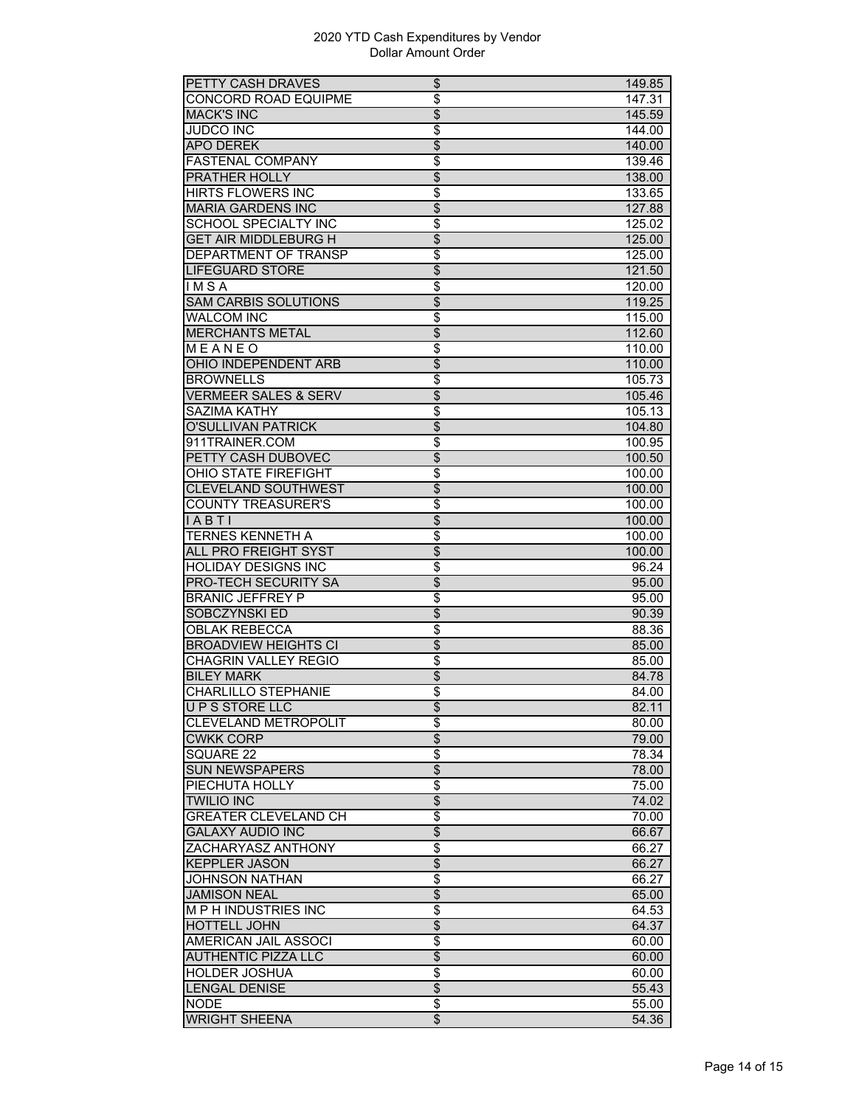| PETTY CASH DRAVES               | \$                        | 149.85 |
|---------------------------------|---------------------------|--------|
| CONCORD ROAD EQUIPME            | \$                        | 147.31 |
| <b>MACK'S INC</b>               | \$                        | 145.59 |
| <b>JUDCO INC</b>                | \$                        | 144.00 |
| <b>APO DEREK</b>                | $\overline{\$}$           | 140.00 |
| <b>FASTENAL COMPANY</b>         | $\overline{\$}$           | 139.46 |
| PRATHER HOLLY                   | $\overline{\$}$           | 138.00 |
| <b>HIRTS FLOWERS INC</b>        | \$                        | 133.65 |
| <b>MARIA GARDENS INC</b>        | $\overline{\$}$           | 127.88 |
| <b>SCHOOL SPECIALTY INC</b>     | \$                        | 125.02 |
| <b>GET AIR MIDDLEBURG H</b>     | \$                        | 125.00 |
| DEPARTMENT OF TRANSP            | \$                        | 125.00 |
| <b>LIFEGUARD STORE</b>          | $\overline{\$}$           | 121.50 |
|                                 |                           |        |
| <b>IMSA</b>                     | $\overline{\$}$           | 120.00 |
| <b>SAM CARBIS SOLUTIONS</b>     | $\overline{\$}$           | 119.25 |
| <b>WALCOM INC</b>               | \$                        | 115.00 |
| <b>MERCHANTS METAL</b>          | $\overline{\$}$           | 112.60 |
| MEANEO                          | \$                        | 110.00 |
| OHIO INDEPENDENT ARB            | \$                        | 110.00 |
| <b>BROWNELLS</b>                | $\overline{\$}$           | 105.73 |
| <b>VERMEER SALES &amp; SERV</b> | $\overline{\$}$           | 105.46 |
| SAZIMA KATHY                    | $\overline{\mathfrak{s}}$ | 105.13 |
| <b>O'SULLIVAN PATRICK</b>       | \$                        | 104.80 |
| 911TRAINER.COM                  | \$                        | 100.95 |
| PETTY CASH DUBOVEC              | \$                        | 100.50 |
| <b>OHIO STATE FIREFIGHT</b>     | \$                        | 100.00 |
| <b>CLEVELAND SOUTHWEST</b>      | $\overline{\$}$           | 100.00 |
| <b>COUNTY TREASURER'S</b>       | \$                        | 100.00 |
| IABTI                           | $\overline{\$}$           | 100.00 |
| <b>TERNES KENNETH A</b>         | \$                        | 100.00 |
| <b>ALL PRO FREIGHT SYST</b>     | $\overline{\$}$           | 100.00 |
| <b>HOLIDAY DESIGNS INC</b>      | \$                        | 96.24  |
| PRO-TECH SECURITY SA            | $\overline{\$}$           | 95.00  |
| <b>BRANIC JEFFREY P</b>         | $\overline{\$}$           | 95.00  |
| <b>SOBCZYNSKI ED</b>            | $\overline{\$}$           | 90.39  |
| <b>OBLAK REBECCA</b>            | \$                        | 88.36  |
| <b>BROADVIEW HEIGHTS CI</b>     | $\overline{\$}$           | 85.00  |
| <b>CHAGRIN VALLEY REGIO</b>     | \$                        |        |
|                                 |                           | 85.00  |
| <b>BILEY MARK</b>               | \$                        | 84.78  |
| <b>CHARLILLO STEPHANIE</b>      | \$                        | 84.00  |
| UPS STORE LLC                   | \$                        | 82.11  |
| <b>CLEVELAND METROPOLIT</b>     | \$                        | 80.00  |
| <b>CWKK CORP</b>                | \$                        | 79.00  |
| SQUARE 22                       | \$                        | 78.34  |
| <b>SUN NEWSPAPERS</b>           | $\overline{\$}$           | 78.00  |
| PIECHUTA HOLLY                  | \$                        | 75.00  |
| <b>TWILIO INC</b>               | \$                        | 74.02  |
| <b>GREATER CLEVELAND CH</b>     | \$                        | 70.00  |
| <b>GALAXY AUDIO INC</b>         | $\overline{\$}$           | 66.67  |
| ZACHARYASZ ANTHONY              | \$                        | 66.27  |
| <b>KEPPLER JASON</b>            | $\overline{\$}$           | 66.27  |
| <b>JOHNSON NATHAN</b>           | \$                        | 66.27  |
| <b>JAMISON NEAL</b>             | \$                        | 65.00  |
| M P H INDUSTRIES INC            | \$                        | 64.53  |
| <b>HOTTELL JOHN</b>             | $\overline{\$}$           | 64.37  |
| <b>AMERICAN JAIL ASSOCI</b>     | $\overline{\$}$           | 60.00  |
| <b>AUTHENTIC PIZZA LLC</b>      | \$                        | 60.00  |
| <b>HOLDER JOSHUA</b>            | $\overline{\mathfrak{s}}$ | 60.00  |
| <b>LENGAL DENISE</b>            | $\overline{\$}$           | 55.43  |
| <b>NODE</b>                     | \$                        | 55.00  |
|                                 |                           |        |
| <b>WRIGHT SHEENA</b>            | \$                        | 54.36  |